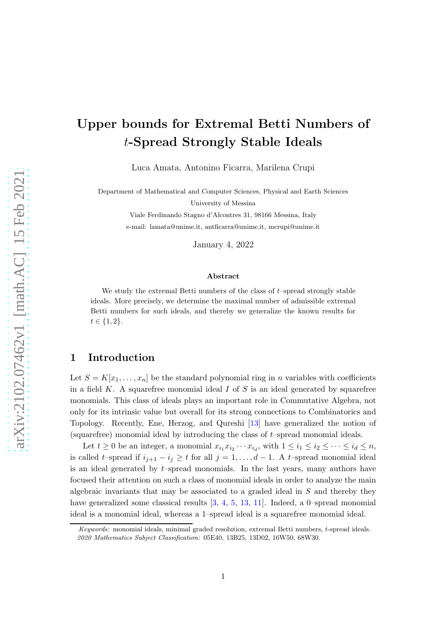# Upper bounds for Extremal Betti Numbers of t-Spread Strongly Stable Ideals

Luca Amata, Antonino Ficarra, Marilena Crupi

Department of Mathematical and Computer Sciences, Physical and Earth Sciences

University of Messina

Viale Ferdinando Stagno d'Alcontres 31, 98166 Messina, Italy e-mail: lamata@unime.it, antficarra@unime.it, mcrupi@unime.it

January 4, 2022

#### Abstract

We study the extremal Betti numbers of the class of  $t$ –spread strongly stable ideals. More precisely, we determine the maximal number of admissible extremal Betti numbers for such ideals, and thereby we generalize the known results for  $t \in \{1, 2\}.$ 

## 1 Introduction

Let  $S = K[x_1, \ldots, x_n]$  be the standard polynomial ring in n variables with coefficients in a field  $K$ . A squarefree monomial ideal  $I$  of  $S$  is an ideal generated by squarefree monomials. This class of ideals plays an important role in Commutative Algebra, not only for its intrinsic value but overall for its strong connections to Combinatorics and Topology. Recently, Ene, Herzog, and Qureshi [\[13\]](#page-22-0) have generalized the notion of (squarefree) monomial ideal by introducing the class of t–spread monomial ideals.

Let  $t \geq 0$  be an integer, a monomial  $x_{i_1} x_{i_2} \cdots x_{i_d}$ , with  $1 \leq i_1 \leq i_2 \leq \cdots \leq i_d \leq n$ , is called t–spread if  $i_{j+1} - i_j \geq t$  for all  $j = 1, ..., d - 1$ . A t–spread monomial ideal is an ideal generated by t–spread monomials. In the last years, many authors have focused their attention on such a class of monomial ideals in order to analyze the main algebraic invariants that may be associated to a graded ideal in  $S$  and thereby they have generalized some classical results  $[3, 4, 5, 13, 11]$  $[3, 4, 5, 13, 11]$  $[3, 4, 5, 13, 11]$  $[3, 4, 5, 13, 11]$  $[3, 4, 5, 13, 11]$  $[3, 4, 5, 13, 11]$  $[3, 4, 5, 13, 11]$  $[3, 4, 5, 13, 11]$ . Indeed, a 0-spread monomial ideal is a monomial ideal, whereas a 1–spread ideal is a squarefree monomial ideal.

<span id="page-0-0"></span>Keywords: monomial ideals, minimal graded resolution, extremal Betti numbers, t-spread ideals. 2020 Mathematics Subject Classification: 05E40, 13B25, 13D02, 16W50, 68W30.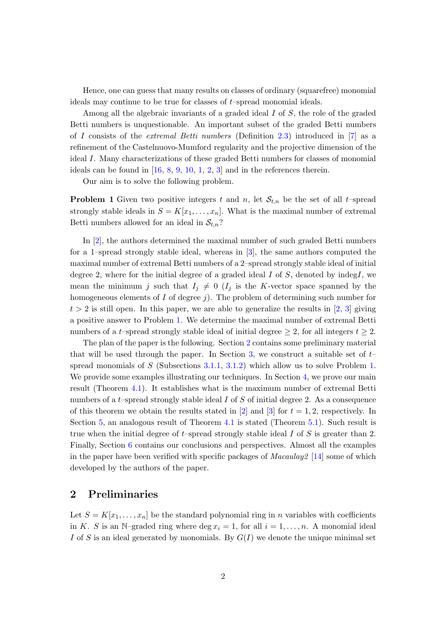Hence, one can guess that many results on classes of ordinary (squarefree) monomial ideals may continue to be true for classes of t–spread monomial ideals.

Among all the algebraic invariants of a graded ideal I of S, the role of the graded Betti numbers is unquestionable. An important subset of the graded Betti numbers of I consists of the *extremal Betti numbers* (Definition [2.3\)](#page-3-0) introduced in [\[7\]](#page-22-5) as a refinement of the Castelnuovo-Mumford regularity and the projective dimension of the ideal I. Many characterizations of these graded Betti numbers for classes of monomial ideals can be found in  $[16, 8, 9, 10, 1, 2, 3]$  $[16, 8, 9, 10, 1, 2, 3]$  $[16, 8, 9, 10, 1, 2, 3]$  $[16, 8, 9, 10, 1, 2, 3]$  $[16, 8, 9, 10, 1, 2, 3]$  $[16, 8, 9, 10, 1, 2, 3]$  $[16, 8, 9, 10, 1, 2, 3]$  $[16, 8, 9, 10, 1, 2, 3]$  $[16, 8, 9, 10, 1, 2, 3]$  $[16, 8, 9, 10, 1, 2, 3]$  $[16, 8, 9, 10, 1, 2, 3]$  $[16, 8, 9, 10, 1, 2, 3]$  and in the references therein.

Our aim is to solve the following problem.

<span id="page-1-0"></span>**Problem 1** Given two positive integers t and n, let  $S_{t,n}$  be the set of all t–spread strongly stable ideals in  $S = K[x_1, \ldots, x_n]$ . What is the maximal number of extremal Betti numbers allowed for an ideal in  $S_{t,n}$ ?

In [\[2\]](#page-22-10), the authors determined the maximal number of such graded Betti numbers for a 1–spread strongly stable ideal, whereas in [\[3\]](#page-22-1), the same authors computed the maximal number of extremal Betti numbers of a 2–spread strongly stable ideal of initial degree 2, where for the initial degree of a graded ideal  $I$  of  $S$ , denoted by indeg $I$ , we mean the minimum j such that  $I_j \neq 0$  ( $I_j$  is the K-vector space spanned by the homogeneous elements of  $I$  of degree  $j$ ). The problem of determining such number for  $t > 2$  is still open. In this paper, we are able to generalize the results in [\[2,](#page-22-10) [3\]](#page-22-1) giving a positive answer to Problem [1.](#page-1-0) We determine the maximal number of extremal Betti numbers of a t–spread strongly stable ideal of initial degree  $\geq 2$ , for all integers  $t \geq 2$ .

The plan of the paper is the following. Section [2](#page-1-1) contains some preliminary material that will be used through the paper. In Section [3,](#page-4-0) we construct a suitable set of  $t$ spread monomials of S (Subsections  $3.1.1$  $3.1.1$  $3.1.1$ ,  $3.1.2$ ) which allow us to solve Problem 1. We provide some examples illustrating our techniques. In Section [4,](#page-15-0) we prove our main result (Theorem [4.1\)](#page-15-1). It establishes what is the maximum number of extremal Betti numbers of a t–spread strongly stable ideal  $I$  of  $S$  of initial degree 2. As a consequence of this theorem we obtain the results stated in [\[2\]](#page-22-10) and [\[3\]](#page-22-1) for  $t = 1, 2$ , respectively. In Section [5,](#page-17-0) an analogous result of Theorem [4.1](#page-15-1) is stated (Theorem [5.1\)](#page-17-1). Such result is true when the initial degree of t–spread strongly stable ideal  $I$  of  $S$  is greater than 2. Finally, Section [6](#page-21-0) contains our conclusions and perspectives. Almost all the examples in the paper have been verified with specific packages of *Macaulay2* [\[14\]](#page-22-11) some of which developed by the authors of the paper.

## <span id="page-1-1"></span>2 Preliminaries

Let  $S = K[x_1, \ldots, x_n]$  be the standard polynomial ring in n variables with coefficients in K. S is an N–graded ring where deg  $x_i = 1$ , for all  $i = 1, ..., n$ . A monomial ideal I of S is an ideal generated by monomials. By  $G(I)$  we denote the unique minimal set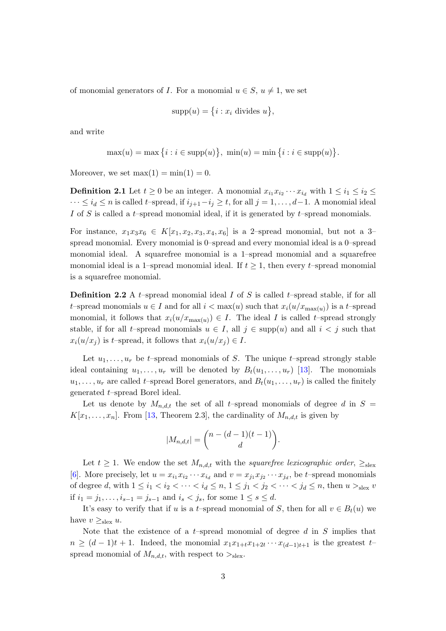of monomial generators of I. For a monomial  $u \in S$ ,  $u \neq 1$ , we set

$$
supp(u) = \{i : x_i \text{ divides } u\},\
$$

and write

$$
\max(u) = \max\left\{i : i \in \text{supp}(u)\right\}, \ \min(u) = \min\left\{i : i \in \text{supp}(u)\right\}.
$$

Moreover, we set  $\max(1) = \min(1) = 0$ .

**Definition 2.1** Let  $t \ge 0$  be an integer. A monomial  $x_{i_1} x_{i_2} \cdots x_{i_d}$  with  $1 \le i_1 \le i_2 \le$  $\cdots \leq i_d \leq n$  is called t–spread, if  $i_{j+1}-i_j \geq t$ , for all  $j=1,\ldots,d-1$ . A monomial ideal I of S is called a t–spread monomial ideal, if it is generated by t–spread monomials.

For instance,  $x_1x_3x_6 \in K[x_1, x_2, x_3, x_4, x_6]$  is a 2-spread monomial, but not a 3spread monomial. Every monomial is 0–spread and every monomial ideal is a 0–spread monomial ideal. A squarefree monomial is a 1–spread monomial and a squarefree monomial ideal is a 1–spread monomial ideal. If  $t \geq 1$ , then every t–spread monomial is a squarefree monomial.

**Definition 2.2** A t–spread monomial ideal I of S is called t–spread stable, if for all t–spread monomials  $u \in I$  and for all  $i < max(u)$  such that  $x_i(u/x_{max(u)})$  is a t–spread monomial, it follows that  $x_i(u/x_{\max(u)}) \in I$ . The ideal I is called t-spread strongly stable, if for all t–spread monomials  $u \in I$ , all  $j \in \text{supp}(u)$  and all  $i < j$  such that  $x_i(u/x_j)$  is t–spread, it follows that  $x_i(u/x_j) \in I$ .

Let  $u_1, \ldots, u_r$  be t–spread monomials of S. The unique t–spread strongly stable ideal containing  $u_1, \ldots, u_r$  will be denoted by  $B_t(u_1, \ldots, u_r)$  [\[13\]](#page-22-0). The monomials  $u_1, \ldots, u_r$  are called t–spread Borel generators, and  $B_t(u_1, \ldots, u_r)$  is called the finitely generated t–spread Borel ideal.

Let us denote by  $M_{n,d,t}$  the set of all t–spread monomials of degree d in  $S =$  $K[x_1, \ldots, x_n]$ . From [\[13,](#page-22-0) Theorem 2.3], the cardinality of  $M_{n,d,t}$  is given by

$$
|M_{n,d,t}| = \binom{n - (d-1)(t-1)}{d}.
$$

Let  $t \geq 1$ . We endow the set  $M_{n,d,t}$  with the *squarefree lexicographic order*,  $\geq_{\text{slex}}$ [\[6\]](#page-22-12). More precisely, let  $u = x_{i_1} x_{i_2} \cdots x_{i_d}$  and  $v = x_{j_1} x_{j_2} \cdots x_{j_d}$ , be t-spread monomials of degree d, with  $1 \leq i_1 < i_2 < \cdots < i_d \leq n$ ,  $1 \leq j_1 < j_2 < \cdots < j_d \leq n$ , then  $u >_{\text{slex}} v$ if  $i_1 = j_1, \ldots, i_{s-1} = j_{s-1}$  and  $i_s < j_s$ , for some  $1 \le s \le d$ .

It's easy to verify that if u is a t–spread monomial of S, then for all  $v \in B_t(u)$  we have  $v \geq_{\text{slex}} u$ .

Note that the existence of a t-spread monomial of degree d in  $S$  implies that  $n \geq (d-1)t+1$ . Indeed, the monomial  $x_1x_{1+t}x_{1+2t}\cdots x_{(d-1)t+1}$  is the greatest tspread monomial of  $M_{n,d,t}$ , with respect to  $>_{\text{slex}}$ .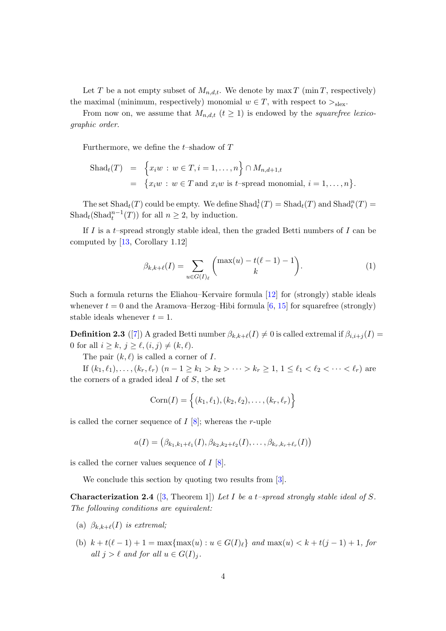Let T be a not empty subset of  $M_{n,d,t}$ . We denote by max T (min T, respectively) the maximal (minimum, respectively) monomial  $w \in T$ , with respect to  $>_{\text{slex}}$ .

From now on, we assume that  $M_{n,d,t}$   $(t \geq 1)$  is endowed by the *squarefree lexicographic order*.

Furthermore, we define the  $t$ -shadow of  $T$ 

$$
\begin{aligned} \text{Shad}_t(T) &= \left\{ x_i w : w \in T, i = 1, \dots, n \right\} \cap M_{n,d+1,t} \\ &= \left\{ x_i w : w \in T \text{ and } x_i w \text{ is } t \text{-spread monomial, } i = 1, \dots, n \right\}. \end{aligned}
$$

The set  $\text{Shad}_t(T)$  could be empty. We define  $\text{Shad}_t^1(T) = \text{Shad}_t(T)$  and  $\text{Shad}_t^n(T) =$ Shad<sub>t</sub>(Shad<sup>n-1</sup>(T)) for all  $n \geq 2$ , by induction.

If  $I$  is a t-spread strongly stable ideal, then the graded Betti numbers of  $I$  can be computed by [\[13,](#page-22-0) Corollary 1.12]

$$
\beta_{k,k+\ell}(I) = \sum_{u \in G(I)_\ell} \binom{\max(u) - t(\ell-1) - 1}{k}.
$$
 (1)

Such a formula returns the Eliahou–Kervaire formula [\[12\]](#page-22-13) for (strongly) stable ideals whenever  $t = 0$  and the Aramova–Herzog–Hibi formula [\[6,](#page-22-12) [15\]](#page-23-1) for squarefree (strongly) stable ideals whenever  $t = 1$ .

<span id="page-3-0"></span>**Definition 2.3** ([\[7\]](#page-22-5)) A graded Betti number  $\beta_{k,k+\ell}(I) \neq 0$  is called extremal if  $\beta_{i,i+j}(I)$  = 0 for all  $i \geq k, j \geq \ell, (i, j) \neq (k, \ell)$ .

The pair  $(k, \ell)$  is called a corner of I.

If  $(k_1, \ell_1), \ldots, (k_r, \ell_r)$   $(n - 1 \ge k_1 > k_2 > \cdots > k_r \ge 1, 1 \le \ell_1 < \ell_2 < \cdots < \ell_r)$  are the corners of a graded ideal  $I$  of  $S$ , the set

$$
Conn(I) = \{(k_1, \ell_1), (k_2, \ell_2), \ldots, (k_r, \ell_r)\}
$$

is called the corner sequence of  $I$  [\[8\]](#page-22-6); whereas the r-uple

$$
a(I) = (\beta_{k_1,k_1+\ell_1}(I), \beta_{k_2,k_2+\ell_2}(I), \ldots, \beta_{k_r,k_r+\ell_r}(I))
$$

is called the corner values sequence of  $I$  [\[8\]](#page-22-6).

We conclude this section by quoting two results from  $[3]$ .

<span id="page-3-1"></span>Characterization 2.4 ([\[3,](#page-22-1) Theorem 1]) *Let* I *be a* t*–spread strongly stable ideal of* S*. The following conditions are equivalent:*

- (a)  $\beta_{k,k+\ell}(I)$  *is extremal*;
- (b)  $k + t(\ell 1) + 1 = \max\{\max(u) : u \in G(I)_{\ell}\}\$  *and*  $\max(u) < k + t(j 1) + 1$ *, for all*  $j > \ell$  *and for all*  $u \in G(I)_j$ .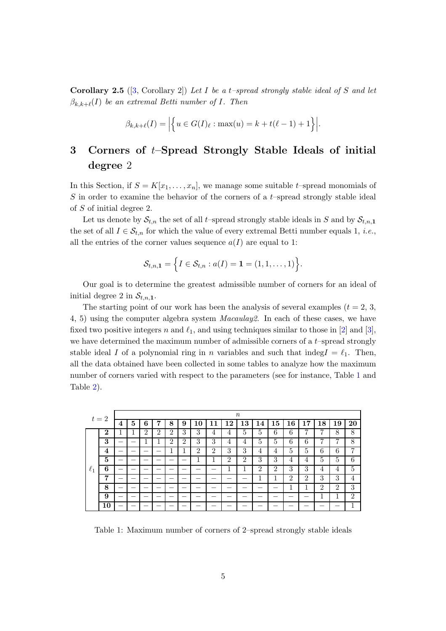Corollary 2.5 ([\[3,](#page-22-1) Corollary 2]) *Let* I *be a* t*–spread strongly stable ideal of* S *and let*  $\beta_{k,k+\ell}(I)$  *be an extremal Betti number of I. Then* 

$$
\beta_{k,k+\ell}(I) = \left| \left\{ u \in G(I)_{\ell} : \max(u) = k + t(\ell - 1) + 1 \right\} \right|.
$$

## <span id="page-4-0"></span>3 Corners of t–Spread Strongly Stable Ideals of initial degree 2

In this Section, if  $S = K[x_1, \ldots, x_n]$ , we manage some suitable t–spread monomials of S in order to examine the behavior of the corners of a  $t$ –spread strongly stable ideal of S of initial degree 2.

Let us denote by  $S_{t,n}$  the set of all t–spread strongly stable ideals in S and by  $S_{t,n,1}$ the set of all  $I \in \mathcal{S}_{t,n}$  for which the value of every extremal Betti number equals 1, *i.e.*, all the entries of the corner values sequence  $a(I)$  are equal to 1:

$$
\mathcal{S}_{t,n,1} = \Big\{ I \in \mathcal{S}_{t,n} : a(I) = 1 = (1,1,\ldots,1) \Big\}.
$$

Our goal is to determine the greatest admissible number of corners for an ideal of initial degree 2 in  $S_{t,n,1}$ .

The starting point of our work has been the analysis of several examples  $(t = 2, 3, ...)$ 4, 5) using the computer algebra system *Macaulay2*. In each of these cases, we have fixed two positive integers n and  $\ell_1$ , and using techniques similar to those in [\[2\]](#page-22-10) and [\[3\]](#page-22-1), we have determined the maximum number of admissible corners of a  $t$ –spread strongly stable ideal I of a polynomial ring in n variables and such that indegI =  $\ell_1$ . Then, all the data obtained have been collected in some tables to analyze how the maximum number of corners varied with respect to the parameters (see for instance, Table [1](#page-4-1) and Table [2\)](#page-5-0).

| $t=2$    |                  | $\boldsymbol{n}$ |    |                |                |                |               |                |                |                |                |                |                |                |                |                |                |                |
|----------|------------------|------------------|----|----------------|----------------|----------------|---------------|----------------|----------------|----------------|----------------|----------------|----------------|----------------|----------------|----------------|----------------|----------------|
|          |                  | 4                | 5  | 6              | 7              | 8              | 9             | 10             | 11             | 12             | 13             | $\overline{4}$ | 15             | 16             | 17             | 18             | 19             | 20             |
|          | $\bf{2}$         |                  | л. | $\overline{2}$ | $\overline{2}$ | $\overline{2}$ | 3             | 3              | 4              | 4              | 5              | 5              | 6              | 6              | 7              | 7              | 8              | 8              |
| $\ell_1$ | 3                |                  |    |                | ┸              | $\overline{2}$ | $\Omega$<br>∠ | 3              | 3              | 4              | 4              | 5              | 5              | 6              | 6              | 7              | 7              | 8              |
|          | $\boldsymbol{4}$ |                  |    |                |                |                |               | $\overline{2}$ | $\overline{2}$ | 3              | 3              | 4              | 4              | 5              | 5              | 6              | 6              | 7              |
|          | 5                |                  |    |                |                |                |               |                |                | $\overline{2}$ | $\overline{2}$ | 3              | 3              | 4              | 4              | 5              | 5              | 6              |
|          | 6                |                  |    |                |                |                |               |                |                |                |                | $\overline{2}$ | $\overline{2}$ | 3              | 3              | 4              | 4              | 5              |
|          | 7                |                  |    |                |                |                |               |                |                |                |                |                | ┸              | $\overline{2}$ | $\overline{2}$ | 3              | 3              | 4              |
|          | 8                |                  |    |                |                |                |               |                |                |                |                |                |                |                | ┸              | $\overline{2}$ | $\overline{2}$ | 3              |
|          | 9                |                  |    |                |                |                |               |                |                |                |                |                |                |                |                |                | ┸              | $\overline{2}$ |
|          | 10               |                  |    |                |                |                |               |                |                |                |                |                |                |                |                |                |                |                |

<span id="page-4-1"></span>Table 1: Maximum number of corners of 2–spread strongly stable ideals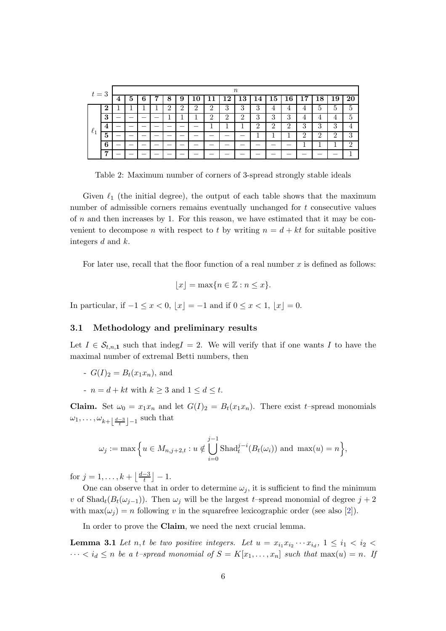| $t=3$    |                |                         | $\boldsymbol{n}$ |   |   |   |                |                |                |                |    |         |        |         |        |              |              |              |
|----------|----------------|-------------------------|------------------|---|---|---|----------------|----------------|----------------|----------------|----|---------|--------|---------|--------|--------------|--------------|--------------|
|          |                | $\overline{\mathbf{4}}$ | 5                | 6 | 7 | 8 | 9              | 10             |                | 12             | 13 | 14      | 15     | 16      | . 7    | 18           | 19           | 20           |
|          | റ              |                         |                  |   |   | റ | $\overline{2}$ | $\overline{2}$ | $\overline{2}$ | 3              | 3  | 3       | 4      | 4       | 4      | <sub>6</sub> | $\mathbf{G}$ | $\mathbf{h}$ |
| $\ell_1$ | 3              |                         |                  |   |   |   |                |                | $\overline{2}$ | $\overline{2}$ | ച  | Q<br>۰J | 3      | 2<br>IJ | 4      | 4            | 4            |              |
|          | $\overline{4}$ |                         |                  |   |   |   |                |                |                |                |    | ٠,      | ച<br>∠ | 2       | 3      | 3            | 3            |              |
|          | 5              |                         |                  |   |   |   |                |                |                |                |    |         |        |         | റ<br>∠ | ച<br>∠       | ച            | ച            |
|          | 6              |                         |                  |   |   |   |                |                |                |                |    |         |        |         |        |              |              | റ            |
|          | $\overline{ }$ |                         |                  |   |   |   |                |                |                |                |    |         |        |         |        |              |              |              |

<span id="page-5-0"></span>Table 2: Maximum number of corners of 3-spread strongly stable ideals

Given  $\ell_1$  (the initial degree), the output of each table shows that the maximum number of admissible corners remains eventually unchanged for t consecutive values of  $n$  and then increases by 1. For this reason, we have estimated that it may be convenient to decompose n with respect to t by writing  $n = d + kt$  for suitable positive integers d and k.

For later use, recall that the floor function of a real number  $x$  is defined as follows:

$$
\lfloor x \rfloor = \max\{ n \in \mathbb{Z} : n \le x \}.
$$

<span id="page-5-2"></span>In particular, if  $-1 \leq x < 0$ ,  $\lfloor x \rfloor = -1$  and if  $0 \leq x < 1$ ,  $\lfloor x \rfloor = 0$ .

#### 3.1 Methodology and preliminary results

Let  $I \in \mathcal{S}_{t,n,1}$  such that indeg  $I = 2$ . We will verify that if one wants I to have the maximal number of extremal Betti numbers, then

- 
$$
G(I)_2 = B_t(x_1x_n)
$$
, and

-  $n = d + kt$  with  $k > 3$  and  $1 \leq d \leq t$ .

Claim. Set  $\omega_0 = x_1x_n$  and let  $G(I)_2 = B_t(x_1x_n)$ . There exist t–spread monomials  $\omega_1, \ldots, \omega_{k+\left\lfloor\frac{d-3}{t}\right\rfloor-1}$  such that

$$
\omega_j := \max\Big\{u \in M_{n,j+2,t} : u \notin \bigcup_{i=0}^{j-1} \text{Shad}_t^{j-i}(B_t(\omega_i)) \text{ and } \max(u) = n\Big\},\
$$

for  $j = 1, ..., k + \lfloor \frac{d-3}{t} \rfloor - 1$ .

One can observe that in order to determine  $\omega_j$ , it is sufficient to find the minimum v of Shad<sub>t</sub>( $B_t(\omega_{j-1})$ ). Then  $\omega_j$  will be the largest t–spread monomial of degree  $j+2$ with  $\max(\omega_j) = n$  following v in the squarefree lexicographic order (see also [\[2\]](#page-22-10)).

In order to prove the **Claim**, we need the next crucial lemma.

<span id="page-5-1"></span>**Lemma 3.1** Let n, t be two positive integers. Let  $u = x_{i_1} x_{i_2} \cdots x_{i_d}$ ,  $1 \leq i_1 < i_2 <$  $\cdots < i_d \leq n$  *be a t-spread monomial of*  $S = K[x_1, \ldots, x_n]$  *such that*  $\max(u) = n$ *. If*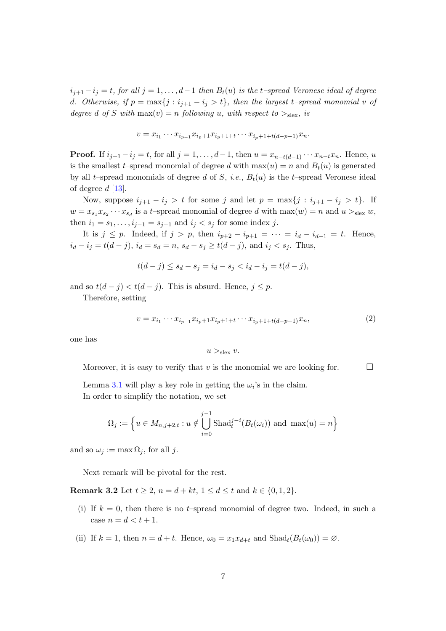$i_{j+1} - i_j = t$ , for all  $j = 1, \ldots, d-1$  then  $B_t(u)$  is the t-spread Veronese ideal of degree d. Otherwise, if  $p = \max\{j : i_{j+1} - i_j > t\}$ , then the largest t–spread monomial v of *degree* d of S with  $max(v) = n$  *following* u, with respect to  $>_{\text{slex}}$ , is

$$
v = x_{i_1} \cdots x_{i_{p-1}} x_{i_p+1} x_{i_p+1+t} \cdots x_{i_p+1+t(d-p-1)} x_n.
$$

**Proof.** If  $i_{j+1} - i_j = t$ , for all  $j = 1, \ldots, d-1$ , then  $u = x_{n-t(d-1)} \cdots x_{n-t} x_n$ . Hence, u is the smallest t–spread monomial of degree d with  $\max(u) = n$  and  $B_t(u)$  is generated by all t–spread monomials of degree d of S, *i.e.*,  $B_t(u)$  is the t–spread Veronese ideal of degree  $d$  [\[13\]](#page-22-0).

Now, suppose  $i_{j+1} - i_j > t$  for some j and let  $p = \max\{j : i_{j+1} - i_j > t\}$ . If  $w = x_{s_1} x_{s_2} \cdots x_{s_d}$  is a t-spread monomial of degree d with  $\max(w) = n$  and  $u >_{\text{slex}} w$ , then  $i_1 = s_1, \ldots, i_{j-1} = s_{j-1}$  and  $i_j < s_j$  for some index j.

It is *j* ≤ *p*. Indeed, if *j* > *p*, then  $i_{p+2} - i_{p+1} = \cdots = i_d - i_{d-1} = t$ . Hence,  $i_d - i_j = t(d - j), i_d = s_d = n, s_d - s_j \ge t(d - j),$  and  $i_j < s_j$ . Thus,

$$
t(d-j) \le s_d - s_j = i_d - s_j < i_d - i_j = t(d-j),
$$

and so  $t(d - j) < t(d - j)$ . This is absurd. Hence,  $j \leq p$ .

Therefore, setting

<span id="page-6-1"></span>
$$
v = x_{i_1} \cdots x_{i_{p-1}} x_{i_p+1} x_{i_p+1+t} \cdots x_{i_p+1+t(d-p-1)} x_n,
$$
\n<sup>(2)</sup>

one has

$$
u >_{\rm slex} v.
$$

Moreover, it is easy to verify that v is the monomial we are looking for.  $\Box$ 

Lemma [3.1](#page-5-1) will play a key role in getting the  $\omega_i$ 's in the claim. In order to simplify the notation, we set

$$
\Omega_j := \left\{ u \in M_{n,j+2,t} : u \notin \bigcup_{i=0}^{j-1} \text{Shad}_t^{j-i}(B_t(\omega_i)) \text{ and } \max(u) = n \right\}
$$

and so  $\omega_i := \max \Omega_i$ , for all j.

Next remark will be pivotal for the rest.

<span id="page-6-0"></span>**Remark 3.2** Let  $t \geq 2$ ,  $n = d + kt$ ,  $1 \leq d \leq t$  and  $k \in \{0, 1, 2\}$ .

- (i) If  $k = 0$ , then there is no t–spread monomial of degree two. Indeed, in such a case  $n = d < t + 1$ .
- (ii) If  $k = 1$ , then  $n = d + t$ . Hence,  $\omega_0 = x_1 x_{d+t}$  and  $\text{Shad}_t(B_t(\omega_0)) = \emptyset$ .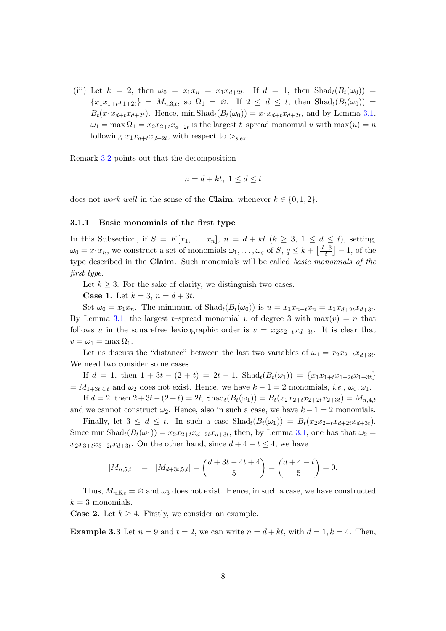(iii) Let  $k = 2$ , then  $\omega_0 = x_1 x_n = x_1 x_{d+2t}$ . If  $d = 1$ , then  $\text{Shad}_t(B_t(\omega_0))$  ${x_1x_{1+t}x_{1+2t}} = M_{n,3,t}$ , so  $\Omega_1 = \emptyset$ . If  $2 \leq d \leq t$ , then  $\text{Shad}_t(B_t(\omega_0))$  $B_t(x_1x_{d+t}x_{d+2t})$ . Hence, min Shad $_t(B_t(\omega_0)) = x_1x_{d+t}x_{d+2t}$ , and by Lemma [3.1,](#page-5-1)  $\omega_1 = \max \Omega_1 = x_2 x_{2+t} x_{d+2t}$  is the largest t-spread monomial u with  $\max(u) = n$ following  $x_1x_{d+t}x_{d+2t}$ , with respect to  $>_{\text{slex}}$ .

Remark [3.2](#page-6-0) points out that the decomposition

$$
n = d + kt, \ 1 \le d \le t
$$

<span id="page-7-0"></span>does not *work well* in the sense of the **Claim**, whenever  $k \in \{0, 1, 2\}$ .

#### 3.1.1 Basic monomials of the first type

In this Subsection, if  $S = K[x_1, \ldots, x_n], n = d + kt \ (k \geq 3, 1 \leq d \leq t),$  setting,  $\omega_0 = x_1 x_n$ , we construct a set of monomials  $\omega_1, \ldots, \omega_q$  of  $S, q \leq k + \left\lfloor \frac{d-3}{t} \right\rfloor - 1$ , of the type described in the Claim. Such monomials will be called *basic monomials of the first type*.

Let  $k \geq 3$ . For the sake of clarity, we distinguish two cases.

**Case 1.** Let  $k = 3$ ,  $n = d + 3t$ .

Set  $\omega_0 = x_1 x_n$ . The minimum of  $\text{Shad}_t(B_t(\omega_0))$  is  $u = x_1 x_{n-t} x_n = x_1 x_{d+2t} x_{d+3t}$ . By Lemma [3.1,](#page-5-1) the largest t–spread monomial v of degree 3 with  $\max(v) = n$  that follows u in the squarefree lexicographic order is  $v = x_2 x_{2} + x_{d+3t}$ . It is clear that  $v = \omega_1 = \max \Omega_1$ .

Let us discuss the "distance" between the last two variables of  $\omega_1 = x_2 x_{2+t} x_{d+3t}$ . We need two consider some cases.

If  $d = 1$ , then  $1 + 3t - (2 + t) = 2t - 1$ ,  $\text{Shad}_t(B_t(\omega_1)) = \{x_1x_{1+t}x_{1+2t}x_{1+3t}\}$  $= M_{1+3t,4,t}$  and  $\omega_2$  does not exist. Hence, we have  $k - 1 = 2$  monomials, *i.e.*,  $\omega_0, \omega_1$ .

If  $d = 2$ , then  $2 + 3t - (2 + t) = 2t$ ,  $\text{Shad}_t(B_t(\omega_1)) = B_t(x_2x_{2+t}x_{2+2t}x_{2+3t}) = M_{n,4,t}$ and we cannot construct  $\omega_2$ . Hence, also in such a case, we have  $k-1=2$  monomials.

Finally, let  $3 \leq d \leq t$ . In such a case  $\text{Shad}_t(B_t(\omega_1)) = B_t(x_2x_{2+t}x_{d+2t}x_{d+3t}).$ Since min Shad<sub>t</sub> $(B_t(\omega_1)) = x_2x_{2+t}x_{d+2t}x_{d+3t}$ , then, by Lemma [3.1,](#page-5-1) one has that  $\omega_2 =$  $x_2x_{3+t}x_{3+2t}x_{d+3t}$ . On the other hand, since  $d+4-t \leq 4$ , we have

$$
|M_{n,5,t}| = |M_{d+3t,5,t}| = {d+3t-4t+4 \choose 5} = {d+4-t \choose 5} = 0.
$$

Thus,  $M_{n,5,t} = \emptyset$  and  $\omega_3$  does not exist. Hence, in such a case, we have constructed  $k = 3$  monomials.

**Case 2.** Let  $k \geq 4$ . Firstly, we consider an example.

**Example 3.3** Let  $n = 9$  and  $t = 2$ , we can write  $n = d + kt$ , with  $d = 1, k = 4$ . Then,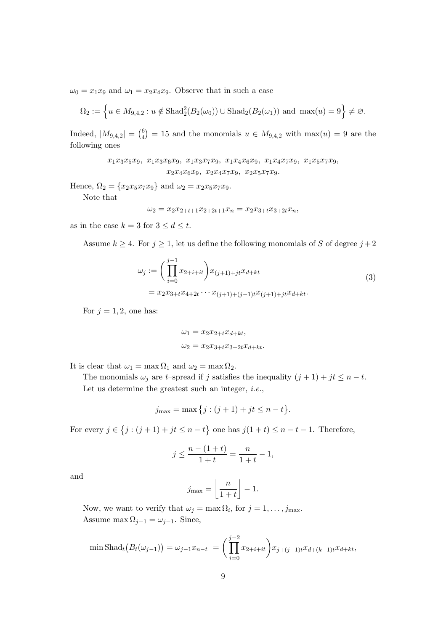$\omega_0 = x_1 x_9$  and  $\omega_1 = x_2 x_4 x_9$ . Observe that in such a case

$$
\Omega_2 := \left\{ u \in M_{9,4,2} : u \notin \text{Shad}_2^2(B_2(\omega_0)) \cup \text{Shad}_2(B_2(\omega_1)) \text{ and } \max(u) = 9 \right\} \neq \varnothing.
$$

Indeed,  $|M_{9,4,2}| = {6 \choose 4}$  $\binom{6}{4} = 15$  and the monomials  $u \in M_{9,4,2}$  with  $\max(u) = 9$  are the following ones

$$
x_1x_3x_5x_9, x_1x_3x_6x_9, x_1x_3x_7x_9, x_1x_4x_6x_9, x_1x_4x_7x_9, x_1x_5x_7x_9,
$$
  

$$
x_2x_4x_6x_9, x_2x_4x_7x_9, x_2x_5x_7x_9.
$$

Hence,  $\Omega_2 = \{x_2x_5x_7x_9\}$  and  $\omega_2 = x_2x_5x_7x_9$ .

Note that

$$
\omega_2 = x_2 x_{2+t+1} x_{2+2t+1} x_n = x_2 x_{3+t} x_{3+2t} x_n,
$$

as in the case  $k = 3$  for  $3 \le d \le t$ .

Assume  $k \geq 4$ . For  $j \geq 1$ , let us define the following monomials of S of degree  $j+2$ 

<span id="page-8-0"></span>
$$
\omega_j := \left(\prod_{i=0}^{j-1} x_{2+i+it}\right) x_{(j+1)+jt} x_{d+kt}
$$
\n
$$
= x_2 x_{3+t} x_{4+2t} \cdots x_{(j+1)+(j-1)t} x_{(j+1)+jt} x_{d+kt}.
$$
\n(3)

For  $j = 1, 2$ , one has:

$$
\omega_1 = x_2 x_{2+t} x_{d+kt},
$$
  

$$
\omega_2 = x_2 x_{3+t} x_{3+2t} x_{d+kt}.
$$

It is clear that  $\omega_1 = \max \Omega_1$  and  $\omega_2 = \max \Omega_2$ .

The monomials  $\omega_j$  are t–spread if j satisfies the inequality  $(j + 1) + jt \leq n - t$ . Let us determine the greatest such an integer, *i.e.*,

$$
j_{\max} = \max \{ j : (j+1) + jt \le n - t \}.
$$

For every  $j \in \{j : (j+1)+jt \leq n-t\}$  one has  $j(1+t) \leq n-t-1$ . Therefore,

$$
j \le \frac{n - (1 + t)}{1 + t} = \frac{n}{1 + t} - 1,
$$

and

$$
j_{\max} = \left\lfloor \frac{n}{1+t} \right\rfloor - 1.
$$

Now, we want to verify that  $\omega_j = \max \Omega_i$ , for  $j = 1, \ldots, j_{\text{max}}$ . Assume  $\max \Omega_{j-1} = \omega_{j-1}$ . Since,

min Shad<sub>t</sub>
$$
(B_t(\omega_{j-1})) = \omega_{j-1}x_{n-t} = \left(\prod_{i=0}^{j-2} x_{2+i+it}\right)x_{j+(j-1)t}x_{d+(k-1)t}x_{d+kt},
$$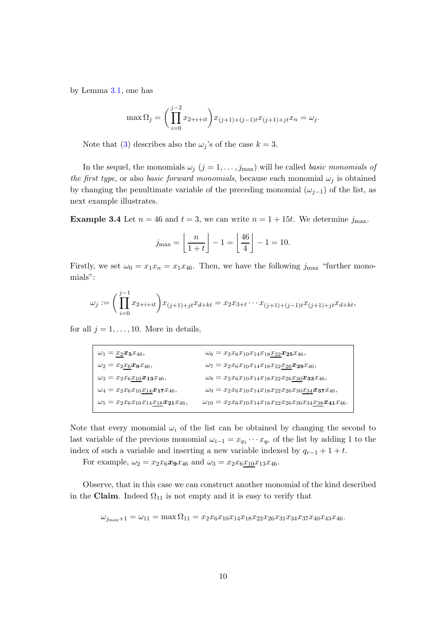by Lemma [3.1,](#page-5-1) one has

$$
\max \Omega_j = \left(\prod_{i=0}^{j-2} x_{2+i+it}\right) x_{(j+1)+(j-1)t} x_{(j+1)+jt} x_n = \omega_j.
$$

Note that [\(3\)](#page-8-0) describes also the  $\omega_j$ 's of the case  $k = 3$ .

In the sequel, the monomials  $\omega_j$  ( $j = 1, \ldots, j_{\text{max}}$ ) will be called *basic monomials of the first type*, or also *basic forward monomials*, because each monomial  $\omega_i$  is obtained by changing the penultimate variable of the preceding monomial  $(\omega_{j-1})$  of the list, as next example illustrates.

<span id="page-9-0"></span>**Example 3.4** Let  $n = 46$  and  $t = 3$ , we can write  $n = 1 + 15t$ . We determine  $j_{\text{max}}$ .

$$
j_{\max} = \left\lfloor \frac{n}{1+t} \right\rfloor - 1 = \left\lfloor \frac{46}{4} \right\rfloor - 1 = 10.
$$

Firstly, we set  $\omega_0 = x_1 x_n = x_1 x_{46}$ . Then, we have the following  $j_{\text{max}}$  "further monomials":

$$
\omega_j := \left(\prod_{i=0}^{j-1} x_{2+i+it}\right) x_{(j+1)+jt} x_{d+kt} = x_2 x_{3+t} \cdots x_{(j+1)+(j-1)t} x_{(j+1)+jt} x_{d+kt},
$$

for all  $j = 1, \ldots, 10$ . More in details,

| $\omega_1 = \underline{x_2} x_5 x_{46},$                           | $\omega_6 = x_2 x_6 x_{10} x_{14} x_{18} x_{22} x_{25} x_{46},$                               |
|--------------------------------------------------------------------|-----------------------------------------------------------------------------------------------|
| $\omega_2 = x_2 x_6 x_9 x_{46},$                                   | $\omega_7 = x_2 x_6 x_{10} x_{14} x_{18} x_{22} x_{26} x_{29} x_{46},$                        |
| $\omega_3 = x_2 x_6 \underline{x_{10}} \underline{x_{13}} x_{46},$ | $\omega_8=x_2x_6x_{10}x_{14}x_{18}x_{22}x_{26}\underline{x_{30}}x_{33}x_{46},$                |
| $\omega_4 = x_2 x_6 x_{10} x_{14} x_{17} x_{46},$                  | $\omega_9=x_2x_6x_{10}x_{14}x_{18}x_{22}x_{26}x_{30}\underline{x_{34}}x_{37}x_{46},$          |
| $\omega_5 = x_2 x_6 x_{10} x_{14} x_{18} x_{21} x_{46},$           | $\omega_{10}=x_2x_6x_{10}x_{14}x_{18}x_{22}x_{26}x_{30}x_{34}\underline{x_{38}}x_{41}x_{46}.$ |

Note that every monomial  $\omega_i$  of the list can be obtained by changing the second to last variable of the previous monomial  $\omega_{i-1} = x_{q_1} \cdots x_{q_r}$  of the list by adding 1 to the index of such a variable and inserting a new variable indexed by  $q_{r-1} + 1 + t$ .

For example,  $\omega_2 = x_2x_6x_9x_{46}$  and  $\omega_3 = x_2x_6x_{10}x_{13}x_{46}$ .

Observe, that in this case we can construct another monomial of the kind described in the Claim. Indeed  $\Omega_{11}$  is not empty and it is easy to verify that

 $\omega_{j_{\max}+1}=\omega_{11}=\max\Omega_{11}=x_2x_6x_{10}x_{14}x_{18}x_{22}x_{26}x_{31}x_{34}x_{37}x_{40}x_{43}x_{46}.$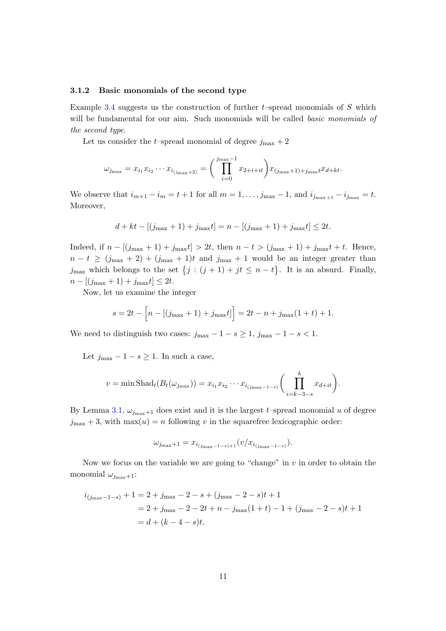#### <span id="page-10-0"></span>3.1.2 Basic monomials of the second type

Example [3.4](#page-9-0) suggests us the construction of further  $t$ -spread monomials of  $S$  which will be fundamental for our aim. Such monomials will be called *basic monomials of the second type*.

Let us consider the *t*-spread monomial of degree  $j_{\text{max}} + 2$ 

$$
\omega_{j_{\max}} = x_{i_1} x_{i_2} \cdots x_{i_{(j_{\max}+2)}} = \left(\prod_{i=0}^{j_{\max}-1} x_{i_i+i} \right) x_{(j_{\max}+1)+j_{\max}} x_{d+kt}.
$$

We observe that  $i_{m+1} - i_m = t + 1$  for all  $m = 1, ..., j_{\text{max}} - 1$ , and  $i_{j_{\text{max}}+1} - i_{j_{\text{max}}} = t$ . Moreover,

$$
d + kt - [(j_{\max} + 1) + j_{\max}t] = n - [(j_{\max} + 1) + j_{\max}t] \le 2t.
$$

Indeed, if  $n - [(j_{\text{max}} + 1) + j_{\text{max}}t] > 2t$ , then  $n - t > (j_{\text{max}} + 1) + j_{\text{max}}t + t$ . Hence,  $n - t \geq (j_{\text{max}} + 2) + (j_{\text{max}} + 1)t$  and  $j_{\text{max}} + 1$  would be an integer greater than  $j_{\text{max}}$  which belongs to the set  $\{j : (j+1) + jt \leq n-t\}$ . It is an absurd. Finally,  $n - [(j_{\text{max}} + 1) + j_{\text{max}}t] \leq 2t.$ 

Now, let us examine the integer

$$
s = 2t - \left[ n - \left[ (j_{\text{max}} + 1) + j_{\text{max}} t \right] \right] = 2t - n + j_{\text{max}}(1 + t) + 1.
$$

We need to distinguish two cases:  $j_{\text{max}} - 1 - s \ge 1$ ,  $j_{\text{max}} - 1 - s < 1$ .

Let  $j_{\text{max}} - 1 - s \geq 1$ . In such a case,

$$
v = \min \operatorname{Shad}_t(B_t(\omega_{j_{\max}})) = x_{i_1} x_{i_2} \cdots x_{i_{(j_{\max}-1-s)}} \left( \prod_{i=k-3-s}^k x_{d+it} \right).
$$

By Lemma [3.1,](#page-5-1)  $\omega_{j_{\text{max}}+1}$  does exist and it is the largest t–spread monomial u of degree  $j_{\text{max}} + 3$ , with  $\max(u) = n$  following v in the squarefree lexicographic order:

$$
\omega_{j_{\max}+1} = x_{i_{(j_{\max}-1-s)+1}}(v/x_{i_{(j_{\max}-1-s)}}).
$$

Now we focus on the variable we are going to "change" in  $v$  in order to obtain the monomial  $\omega_{j_{\text{max}}+1}$ :

$$
i_{(j_{\max}-1-s)} + 1 = 2 + j_{\max} - 2 - s + (j_{\max} - 2 - s)t + 1
$$
  
= 2 + j\_{\max} - 2 - 2t + n - j\_{\max}(1 + t) - 1 + (j\_{\max} - 2 - s)t + 1  
= d + (k - 4 - s)t.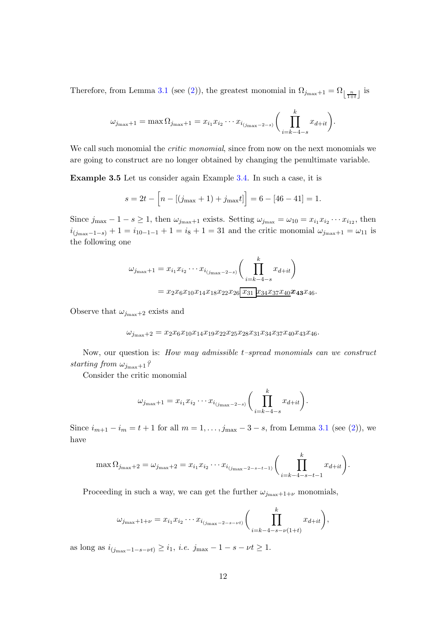Therefore, from Lemma [3.1](#page-5-1) (see [\(2\)](#page-6-1)), the greatest monomial in  $\Omega_{j_{\text{max}}+1} = \Omega_{\lfloor \frac{n}{1+t} \rfloor}$  is

$$
\omega_{j_{\max}+1} = \max \Omega_{j_{\max}+1} = x_{i_1} x_{i_2} \cdots x_{i_{(j_{\max}-2-s)}} \left( \prod_{i=k-4-s}^k x_{d+it} \right).
$$

We call such monomial the *critic monomial*, since from now on the next monomials we are going to construct are no longer obtained by changing the penultimate variable.

Example 3.5 Let us consider again Example [3.4.](#page-9-0) In such a case, it is

$$
s = 2t - \left[ n - \left[ (j_{\text{max}} + 1) + j_{\text{max}} t \right] \right] = 6 - [46 - 41] = 1.
$$

Since  $j_{\text{max}} - 1 - s \ge 1$ , then  $\omega_{j_{\text{max}}+1}$  exists. Setting  $\omega_{j_{\text{max}}} = \omega_{10} = x_{i_1} x_{i_2} \cdots x_{i_{12}}$ , then  $i_{(j_{\text{max}}-1-s)} + 1 = i_{10-1-1} + 1 = i_8 + 1 = 31$  and the critic monomial  $\omega_{j_{\text{max}}+1} = \omega_{11}$  is the following one

$$
\omega_{j_{\max}+1} = x_{i_1} x_{i_2} \cdots x_{i_{(j_{\max}-2-s)}} \left( \prod_{i=k-4-s}^k x_{d+it} \right)
$$
  
=  $x_2 x_6 x_{10} x_{14} x_{18} x_{22} x_{26} \overline{x_{31}} \overline{x_{34} x_{37} x_{40}} \overline{x_{43}} x_{46}.$ 

Observe that  $\omega_{j_{\text{max}}+2}$  exists and

 $\omega_{j_{\text{max}}+2} = x_2 x_6 x_{10} x_{14} x_{19} x_{22} x_{25} x_{28} x_{31} x_{34} x_{37} x_{40} x_{43} x_{46}.$ 

Now, our question is: *How may admissible* t*–spread monomials can we construct starting from*  $\omega_{j_{\text{max}}+1}$ ?

Consider the critic monomial

$$
\omega_{j_{\max}+1} = x_{i_1} x_{i_2} \cdots x_{i_{(j_{\max}-2-s)}} \bigg( \prod_{i=k-4-s}^k x_{d+it} \bigg).
$$

Since  $i_{m+1} - i_m = t + 1$  for all  $m = 1, ..., j_{\text{max}} - 3 - s$ , from Lemma [3.1](#page-5-1) (see [\(2\)](#page-6-1)), we have

$$
\max \Omega_{j_{\max}+2} = \omega_{j_{\max}+2} = x_{i_1} x_{i_2} \cdots x_{i_{(j_{\max}-2-s-t-1)}} \left( \prod_{i=k-4-s-t-1}^{k} x_{d+it} \right).
$$

Proceeding in such a way, we can get the further  $\omega_{j_{\text{max}}+1+\nu}$  monomials,

$$
\omega_{j_{\max}+1+\nu} = x_{i_1} x_{i_2} \cdots x_{i_{(j_{\max}-2-s-\nu t)}} \left( \prod_{i=k-4-s-\nu(1+t)}^{k} x_{d+it} \right),
$$

as long as  $i_{(j_{\text{max}}-1-s-\nu t)} \geq i_1$ , *i.e.*  $j_{\text{max}}-1-s-\nu t \geq 1$ .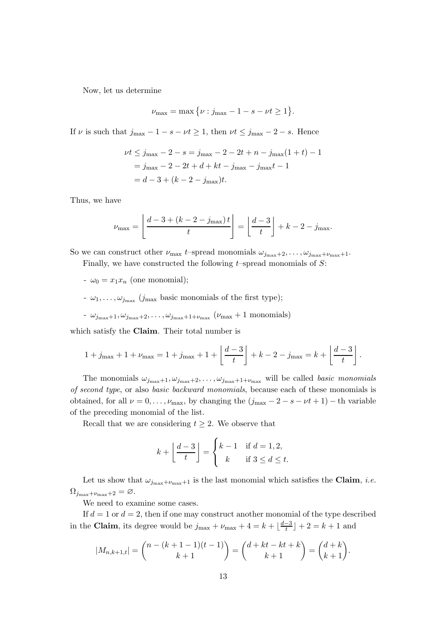Now, let us determine

$$
\nu_{\max} = \max \big\{ \nu : j_{\max} - 1 - s - \nu t \ge 1 \big\}.
$$

If  $\nu$  is such that  $j_{\text{max}} - 1 - s - \nu t \geq 1$ , then  $\nu t \leq j_{\text{max}} - 2 - s$ . Hence

$$
\nu t \le j_{\max} - 2 - s = j_{\max} - 2 - 2t + n - j_{\max}(1 + t) - 1
$$
  
=  $j_{\max} - 2 - 2t + d + kt - j_{\max} - j_{\max}t - 1$   
=  $d - 3 + (k - 2 - j_{\max})t$ .

Thus, we have

$$
\nu_{\max} = \left\lfloor \frac{d-3 + (k-2-j_{\max})t}{t} \right\rfloor = \left\lfloor \frac{d-3}{t} \right\rfloor + k - 2 - j_{\max}.
$$

So we can construct other  $\nu_{\text{max}} t$ -spread monomials  $\omega_{j_{\text{max}}+2}, \ldots, \omega_{j_{\text{max}}+ \nu_{\text{max}}+1}$ .

Finally, we have constructed the following  $t$ -spread monomials of  $S$ :

 $-\omega_0 = x_1x_n$  (one monomial);

-  $\omega_1, \ldots, \omega_{j_{\text{max}}}$  (j<sub>max</sub> basic monomials of the first type);

 $-\omega_{j_{\text{max}}+1}, \omega_{j_{\text{max}}+2}, \ldots, \omega_{j_{\text{max}}+1+\nu_{\text{max}}}\ (\nu_{\text{max}}+1 \text{ monomials})$ 

which satisfy the Claim. Their total number is

$$
1 + j_{\max} + 1 + \nu_{\max} = 1 + j_{\max} + 1 + \left\lfloor \frac{d-3}{t} \right\rfloor + k - 2 - j_{\max} = k + \left\lfloor \frac{d-3}{t} \right\rfloor.
$$

The monomials  $\omega_{j_{\max}+1}, \omega_{j_{\max}+2}, \ldots, \omega_{j_{\max}+1+\nu_{\max}}$  will be called *basic monomials of second type*, or also *basic backward monomials*, because each of these monomials is obtained, for all  $\nu = 0, \ldots, \nu_{\text{max}}$ , by changing the  $(j_{\text{max}} - 2 - s - \nu t + 1) -$ th variable of the preceding monomial of the list.

Recall that we are considering  $t \geq 2$ . We observe that

$$
k + \left\lfloor \frac{d-3}{t} \right\rfloor = \begin{cases} k-1 & \text{if } d = 1,2, \\ k & \text{if } 3 \le d \le t. \end{cases}
$$

Let us show that  $\omega_{j_{\text{max}}+\nu_{\text{max}}+1}$  is the last monomial which satisfies the **Claim**, *i.e.*  $\Omega_{j_{\max}+\nu_{\max}+2}=\varnothing.$ 

We need to examine some cases.

If  $d = 1$  or  $d = 2$ , then if one may construct another monomial of the type described in the **Claim**, its degree would be  $j_{\text{max}} + \nu_{\text{max}} + 4 = k + \lfloor \frac{d-3}{t} \rfloor + 2 = k + 1$  and

$$
|M_{n,k+1,t}| = \binom{n-(k+1-1)(t-1)}{k+1} = \binom{d+kt-kt+k}{k+1} = \binom{d+k}{k+1}.
$$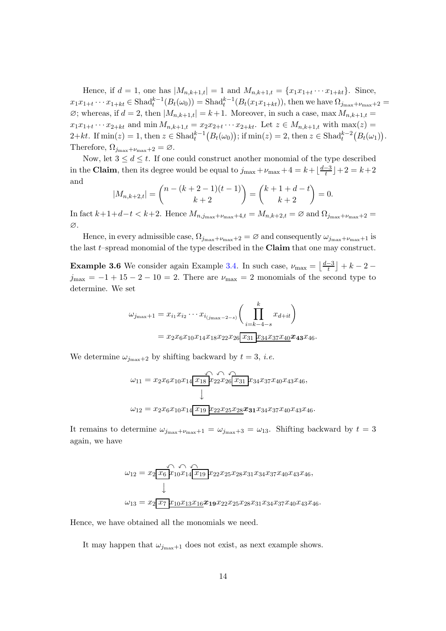Hence, if  $d = 1$ , one has  $|M_{n,k+1,t}| = 1$  and  $M_{n,k+1,t} = \{x_1x_{1+t} \cdots x_{1+kt}\}.$  Since,  $x_1x_{1+t}\cdots x_{1+kt} \in \text{Shad}_t^{k-1}(B_t(\omega_0)) = \text{Shad}_t^{k-1}(B_t(x_1x_{1+kt}))$ , then we have  $\Omega_{j_{\text{max}}+\nu_{\text{max}}+2} =$  $\emptyset$ ; whereas, if  $d = 2$ , then  $|M_{n,k+1,t}| = k+1$ . Moreover, in such a case, max  $M_{n,k+1,t} =$  $x_1x_{1+t} \cdots x_{2+kt}$  and  $\min M_{n,k+1,t} = x_2x_{2+t} \cdots x_{2+kt}$ . Let  $z \in M_{n,k+1,t}$  with  $\max(z) =$ 2+kt. If  $\min(z) = 1$ , then  $z \in \text{Shad}_t^{k-1}(B_t(\omega_0))$ ; if  $\min(z) = 2$ , then  $z \in \text{Shad}_t^{k-2}(B_t(\omega_1))$ . Therefore,  $\Omega_{j_{\text{max}}+\nu_{\text{max}}+2} = \varnothing$ .

Now, let  $3 \leq d \leq t$ . If one could construct another monomial of the type described in the **Claim**, then its degree would be equal to  $j_{\text{max}} + \nu_{\text{max}} + 4 = k + \lfloor \frac{d-3}{t} \rfloor + 2 = k + 2$ and

$$
|M_{n,k+2,t}| = \binom{n-(k+2-1)(t-1)}{k+2} = \binom{k+1+d-t}{k+2} = 0.
$$

In fact  $k+1+d-t < k+2$ . Hence  $M_{n,j_{\text{max}}+\nu_{\text{max}}+4,t} = M_{n,k+2,t} = \emptyset$  and  $\Omega_{j_{\text{max}}+\nu_{\text{max}}+2} =$ ∅.

Hence, in every admissible case,  $\Omega_{j_{\text{max}}+\nu_{\text{max}}+2} = \varnothing$  and consequently  $\omega_{j_{\text{max}}+\nu_{\text{max}}+1}$  is the last t–spread monomial of the type described in the Claim that one may construct.

**Example 3.6** We consider again Example [3.4.](#page-9-0) In such case,  $\nu_{\text{max}} = \left[ \frac{d-3}{t} \right] + k - 2 - \frac{1}{t}$  $j_{\text{max}} = -1 + 15 - 2 - 10 = 2$ . There are  $\nu_{\text{max}} = 2$  monomials of the second type to determine. We set

$$
\omega_{j_{\max}+1} = x_{i_1} x_{i_2} \cdots x_{i_{(j_{\max}-2-s)}} \left( \prod_{i=k-4-s}^k x_{d+it} \right)
$$

$$
= x_2 x_6 x_{10} x_{14} x_{18} x_{22} x_{26} \boxed{x_{31}} \frac{x_{34} x_{37} x_{40} x_{43} x_{46}.
$$

We determine  $\omega_{j_{\text{max}}+2}$  by shifting backward by  $t = 3$ , *i.e.* 

$$
\omega_{11} = x_2 x_6 x_{10} x_{14} \overbrace{\begin{bmatrix} x_{18} \\ x_{22} x_{26} \overline{x_{31}} \overline{x_{34} x_{37} x_{40} x_{43} x_{46}, \\ x_{12} = x_2 x_6 x_{10} x_{14} \overline{x_{19}} \overline{x_{22} x_{25} x_{28}} \overline{x_{31} x_{34} x_{37} x_{40} x_{43} x_{46}}. \end{bmatrix}}
$$

It remains to determine  $\omega_{j_{\text{max}}+ \nu_{\text{max}}+1} = \omega_{j_{\text{max}}+3} = \omega_{13}$ . Shifting backward by  $t = 3$ again, we have

$$
\omega_{12} = x_2 \overbrace{\begin{bmatrix} x_6 \ x_{10} x_{14} \overline{x_{19}} \ x_{22} x_{25} x_{28} x_{31} x_{34} x_{37} x_{40} x_{43} x_{46}, \end{bmatrix}}^{\omega_{12}} = x_2 \overbrace{\begin{bmatrix} x_7 \ x_{10} x_{13} x_{16} \ x_{19} x_{22} x_{25} x_{28} x_{31} x_{34} x_{37} x_{40} x_{43} x_{46}. \end{bmatrix}}
$$

Hence, we have obtained all the monomials we need.

It may happen that  $\omega_{j_{\text{max}}+1}$  does not exist, as next example shows.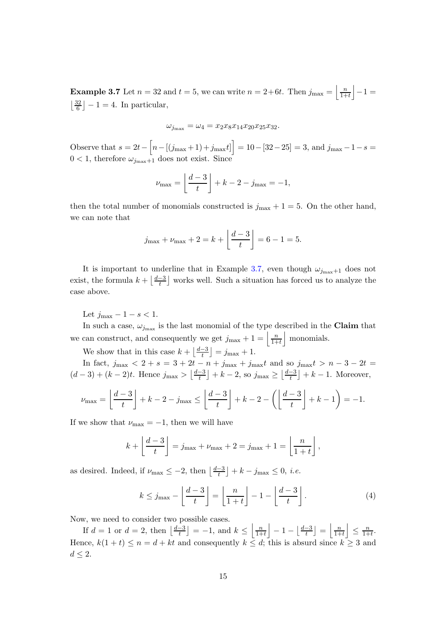<span id="page-14-0"></span>**Example 3.7** Let  $n = 32$  and  $t = 5$ , we can write  $n = 2+6t$ . Then  $j_{\text{max}} = \frac{n}{1+t}$  $\frac{n}{1+t}\Big| -1 =$  $\frac{32}{6}$  $\left[\frac{32}{6}\right] - 1 = 4$ . In particular,

$$
\omega_{j_{\max}} = \omega_4 = x_2 x_8 x_{14} x_{20} x_{25} x_{32}.
$$

Observe that  $s = 2t - \left[ n - \left[ (j_{\text{max}} + 1) + j_{\text{max}} t \right] \right] = 10 - [32 - 25] = 3$ , and  $j_{\text{max}} - 1 - s =$  $0 < 1$ , therefore  $\omega_{j_{\text{max}}+1}$  does not exist. Since

$$
\nu_{\max} = \left\lfloor \frac{d-3}{t} \right\rfloor + k - 2 - j_{\max} = -1,
$$

then the total number of monomials constructed is  $j_{\text{max}} + 1 = 5$ . On the other hand, we can note that

$$
j_{\text{max}} + \nu_{\text{max}} + 2 = k + \left\lfloor \frac{d-3}{t} \right\rfloor = 6 - 1 = 5.
$$

It is important to underline that in Example [3.7,](#page-14-0) even though  $\omega_{j_{\text{max}}+1}$  does not exist, the formula  $k + \left\lfloor \frac{d-3}{t} \right\rfloor$  works well. Such a situation has forced us to analyze the case above.

Let  $j_{\text{max}} - 1 - s < 1$ .

In such a case,  $\omega_{j_{\text{max}}}$  is the last monomial of the type described in the Claim that we can construct, and consequently we get  $j_{\text{max}} + 1 = \frac{n}{1 + n}$  $\frac{n}{1+t}$  monomials.

We show that in this case  $k + \left\lfloor \frac{d-3}{t} \right\rfloor = j_{\text{max}} + 1$ .

In fact,  $j_{\text{max}} < 2 + s = 3 + 2t - n + j_{\text{max}} + j_{\text{max}}t$  and so  $j_{\text{max}}t > n - 3 - 2t =$  $(d-3) + (k-2)t$ . Hence  $j_{\text{max}} > \left\lfloor \frac{d-3}{t} \right\rfloor + k - 2$ , so  $j_{\text{max}} \ge \left\lfloor \frac{d-3}{t} \right\rfloor + k - 1$ . Moreover,

$$
\nu_{\max} = \left\lfloor \frac{d-3}{t} \right\rfloor + k - 2 - j_{\max} \le \left\lfloor \frac{d-3}{t} \right\rfloor + k - 2 - \left( \left\lfloor \frac{d-3}{t} \right\rfloor + k - 1 \right) = -1.
$$

If we show that  $\nu_{\text{max}} = -1$ , then we will have

$$
k + \left\lfloor \frac{d-3}{t} \right\rfloor = j_{\max} + \nu_{\max} + 2 = j_{\max} + 1 = \left\lfloor \frac{n}{1+t} \right\rfloor,
$$

as desired. Indeed, if  $\nu_{\text{max}} \leq -2$ , then  $\left\lfloor \frac{d-3}{t} \right\rfloor + k - j_{\text{max}} \leq 0$ , *i.e.* 

$$
k \le j_{\max} - \left\lfloor \frac{d-3}{t} \right\rfloor = \left\lfloor \frac{n}{1+t} \right\rfloor - 1 - \left\lfloor \frac{d-3}{t} \right\rfloor. \tag{4}
$$

Now, we need to consider two possible cases.

If  $d = 1$  or  $d = 2$ , then  $\left\lfloor \frac{d-3}{t} \right\rfloor = -1$ , and  $k \leq \left\lfloor \frac{n}{1+t} \right\rfloor$  $\left\lfloor \frac{n}{1+t} \right\rfloor - 1 - \left\lfloor \frac{d-3}{t} \right\rfloor = \left\lfloor \frac{n}{1+t} \right\rfloor$  $\left| \frac{n}{1+t} \right| \leq \frac{n}{1+}$  $\frac{n}{1+t}$ . Hence,  $k(1 + t) \le n = d + kt$  and consequently  $k \le d$ ; this is absurd since  $k \ge 3$  and  $d \leq 2$ .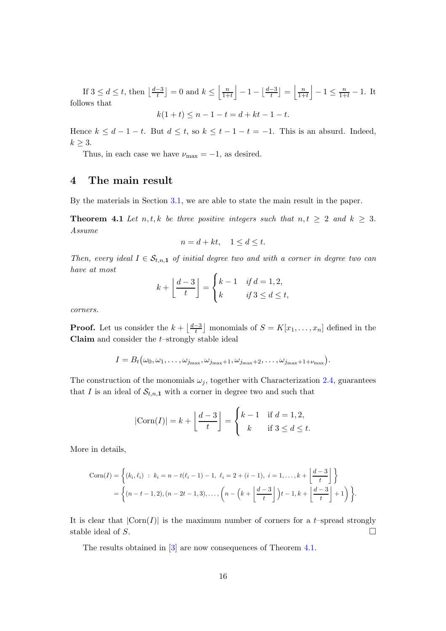If  $3 \leq d \leq t$ , then  $\left\lfloor \frac{d-3}{t} \right\rfloor = 0$  and  $k \leq \left\lfloor \frac{n}{1+t} \right\rfloor$  $\left\lfloor \frac{n}{1+t} \right\rfloor - 1 - \left\lfloor \frac{d-3}{t} \right\rfloor = \left\lfloor \frac{n}{1+t} \right\rfloor$  $\left| \frac{n}{1+t} \right| - 1 \leq \frac{n}{1+t} - 1.$  It follows that

$$
k(1+t) \le n - 1 - t = d + kt - 1 - t.
$$

Hence  $k \leq d-1-t$ . But  $d \leq t$ , so  $k \leq t-1-t=-1$ . This is an absurd. Indeed,  $k \geq 3$ .

Thus, in each case we have  $\nu_{\text{max}} = -1$ , as desired.

## <span id="page-15-0"></span>4 The main result

By the materials in Section [3.1,](#page-5-2) we are able to state the main result in the paper.

<span id="page-15-1"></span>**Theorem 4.1** Let  $n, t, k$  be three positive integers such that  $n, t \geq 2$  and  $k \geq 3$ . *Assume*

$$
n = d + kt, \quad 1 \le d \le t.
$$

*Then, every ideal*  $I \in S_{t,n,1}$  *of initial degree two and with a corner in degree two can have at most*

$$
k + \left\lfloor \frac{d-3}{t} \right\rfloor = \begin{cases} k-1 & \text{if } d = 1,2, \\ k & \text{if } 3 \le d \le t, \end{cases}
$$

*corners.*

**Proof.** Let us consider the  $k + \left\lfloor \frac{d-3}{t} \right\rfloor$  monomials of  $S = K[x_1, \ldots, x_n]$  defined in the **Claim** and consider the  $t$ -strongly stable ideal

$$
I = B_t(\omega_0, \omega_1, \dots, \omega_{j_{\max}}, \omega_{j_{\max}+1}, \omega_{j_{\max}+2}, \dots, \omega_{j_{\max}+1+\nu_{\max}}).
$$

The construction of the monomials  $\omega_i$ , together with Characterization [2.4,](#page-3-1) guarantees that I is an ideal of  $S_{t,n,1}$  with a corner in degree two and such that

$$
|\text{Corn}(I)| = k + \left\lfloor \frac{d-3}{t} \right\rfloor = \begin{cases} k-1 & \text{if } d = 1,2, \\ k & \text{if } 3 \le d \le t. \end{cases}
$$

More in details,

$$
\text{Corn}(I) = \left\{ (k_i, \ell_i) : k_i = n - t(\ell_i - 1) - 1, \ \ell_i = 2 + (i - 1), \ i = 1, \dots, k + \left\lfloor \frac{d - 3}{t} \right\rfloor \right\}
$$
\n
$$
= \left\{ (n - t - 1, 2), (n - 2t - 1, 3), \dots, \left( n - \left( k + \left\lfloor \frac{d - 3}{t} \right\rfloor \right) t - 1, k + \left\lfloor \frac{d - 3}{t} \right\rfloor + 1 \right) \right\}.
$$

It is clear that  $|Con(I)|$  is the maximum number of corners for a t–spread strongly stable ideal of S.

The results obtained in [\[3\]](#page-22-1) are now consequences of Theorem [4.1.](#page-15-1)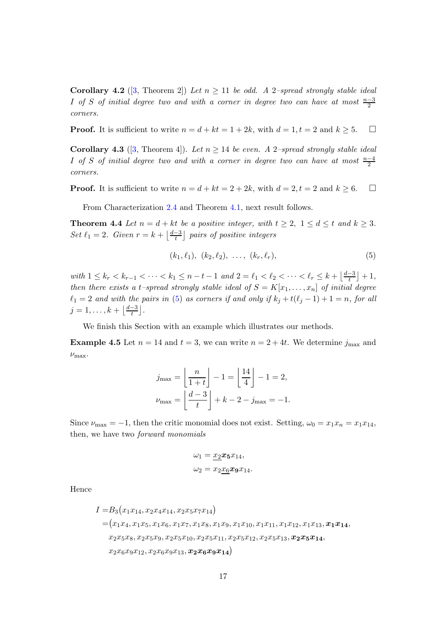Corollary 4.2 ([\[3,](#page-22-1) Theorem 2]) Let  $n \geq 11$  be odd. A 2-spread strongly stable ideal I *of* S *of initial degree two and with a corner in degree two can have at most*  $\frac{n-3}{2}$ *corners.*

**Proof.** It is sufficient to write  $n = d + kt = 1 + 2k$ , with  $d = 1, t = 2$  and  $k \ge 5$ .  $\Box$ 

**Corollary 4.3** ([\[3,](#page-22-1) Theorem 4]). Let  $n \geq 14$  be even. A 2-spread strongly stable ideal I *of* S *of initial degree two and with a corner in degree two can have at most*  $\frac{n-4}{2}$ *corners.*

**Proof.** It is sufficient to write  $n = d + kt = 2 + 2k$ , with  $d = 2, t = 2$  and  $k \ge 6$ .  $\Box$ 

From Characterization [2.4](#page-3-1) and Theorem [4.1,](#page-15-1) next result follows.

<span id="page-16-1"></span>**Theorem 4.4** Let  $n = d + kt$  be a positive integer, with  $t \geq 2$ ,  $1 \leq d \leq t$  and  $k \geq 3$ . *Set*  $\ell_1 = 2$ *. Given*  $r = k + \left\lfloor \frac{d-3}{t} \right\rfloor$  pairs of positive integers

<span id="page-16-0"></span>
$$
(k_1, \ell_1), \ (k_2, \ell_2), \ \ldots, \ (k_r, \ell_r), \tag{5}
$$

 $with 1 \leq k_r < k_{r-1} < \cdots < k_1 \leq n-t-1 \text{ and } 2 = \ell_1 < \ell_2 < \cdots < \ell_r \leq k + \left\lfloor \frac{d-3}{t} \right\rfloor + 1,$ *then there exists a t–spread strongly stable ideal of*  $S = K[x_1, \ldots, x_n]$  *of initial degree*  $\ell_1 = 2$  *and with the pairs in* [\(5\)](#page-16-0) *as corners if and only if*  $k_j + t(\ell_j - 1) + 1 = n$ , for all  $j = 1, \ldots, k + \left\lfloor \frac{d-3}{t} \right\rfloor.$ 

We finish this Section with an example which illustrates our methods.

**Example 4.5** Let  $n = 14$  and  $t = 3$ , we can write  $n = 2 + 4t$ . We determine  $j_{\text{max}}$  and  $\nu_{\text{max}}$ .

$$
j_{\max} = \left\lfloor \frac{n}{1+t} \right\rfloor - 1 = \left\lfloor \frac{14}{4} \right\rfloor - 1 = 2,
$$
  

$$
\nu_{\max} = \left\lfloor \frac{d-3}{t} \right\rfloor + k - 2 - j_{\max} = -1.
$$

Since  $\nu_{\text{max}} = -1$ , then the critic monomial does not exist. Setting,  $\omega_0 = x_1 x_n = x_1 x_{14}$ , then, we have two *forward monomials*

$$
\omega_1 = \underline{x_2} \underline{x_5} x_{14},
$$
  

$$
\omega_2 = x_2 \underline{x_6} \underline{x_9} x_{14}.
$$

Hence

$$
I = B_3(x_1x_{14}, x_2x_4x_{14}, x_2x_5x_7x_{14})
$$
  
=  $(x_1x_4, x_1x_5, x_1x_6, x_1x_7, x_1x_8, x_1x_9, x_1x_{10}, x_1x_{11}, x_1x_{12}, x_1x_{13}, x_1x_{14}, x_2x_5x_8, x_2x_5x_9, x_2x_5x_{10}, x_2x_5x_{11}, x_2x_5x_{12}, x_2x_5x_{13}, x_2x_5x_{14}, x_2x_6x_9x_{12}, x_2x_6x_9x_{13}, x_2x_6x_9x_{14})$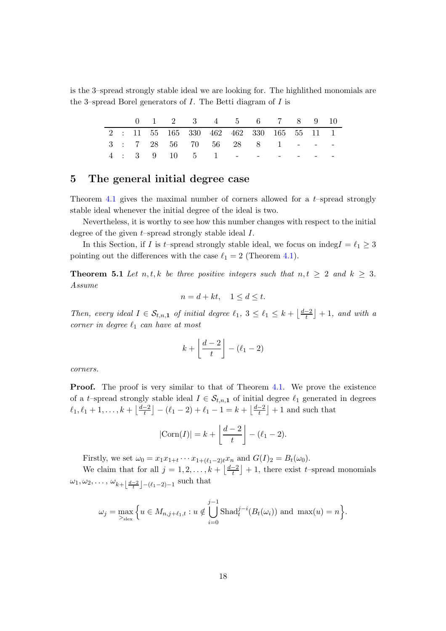is the 3–spread strongly stable ideal we are looking for. The highlithed monomials are the 3–spread Borel generators of  $I$ . The Betti diagram of  $I$  is

|  |  |  | 0 1 2 3 4 5 6 7 8 9 10                    |  |  |  |
|--|--|--|-------------------------------------------|--|--|--|
|  |  |  | 2 : 11 55 165 330 462 462 330 165 55 11 1 |  |  |  |
|  |  |  | $3:7285670562881---$                      |  |  |  |
|  |  |  | 4 : 3 9 10 5 1 - - - - - - -              |  |  |  |

## <span id="page-17-0"></span>5 The general initial degree case

Theorem [4.1](#page-15-1) gives the maximal number of corners allowed for a  $t$ -spread strongly stable ideal whenever the initial degree of the ideal is two.

Nevertheless, it is worthy to see how this number changes with respect to the initial degree of the given t–spread strongly stable ideal I.

In this Section, if I is t–spread strongly stable ideal, we focus on indegI =  $\ell_1 \geq 3$ pointing out the differences with the case  $\ell_1 = 2$  (Theorem [4.1\)](#page-15-1).

<span id="page-17-1"></span>**Theorem 5.1** Let  $n, t, k$  be three positive integers such that  $n, t \geq 2$  and  $k \geq 3$ . *Assume*

$$
n = d + kt, \quad 1 \le d \le t.
$$

*Then, every ideal*  $I \in S_{t,n,1}$  *of initial degree*  $\ell_1$ ,  $3 \leq \ell_1 \leq k + \lfloor \frac{d-2}{t} \rfloor + 1$ *, and with a corner in degree* ℓ<sup>1</sup> *can have at most*

$$
k + \left\lfloor \frac{d-2}{t} \right\rfloor - (\ell_1 - 2)
$$

*corners.*

**Proof.** The proof is very similar to that of Theorem [4.1.](#page-15-1) We prove the existence of a t–spread strongly stable ideal  $I \in \mathcal{S}_{t,n,1}$  of initial degree  $\ell_1$  generated in degrees  $\ell_1, \ell_1 + 1, \ldots, k + \left\lfloor \frac{d-2}{t} \right\rfloor - (\ell_1 - 2) + \ell_1 - 1 = k + \left\lfloor \frac{d-2}{t} \right\rfloor + 1$  and such that

$$
|\text{Corn}(I)| = k + \left\lfloor \frac{d-2}{t} \right\rfloor - (\ell_1 - 2).
$$

Firstly, we set  $\omega_0 = x_1 x_{1+t} \cdots x_{1+(l_1-2)t} x_n$  and  $G(I)_2 = B_t(\omega_0)$ .

We claim that for all  $j = 1, 2, ..., k + \lfloor \frac{d-2}{t} \rfloor + 1$ , there exist t-spread monomials  $\omega_1, \omega_2, \ldots, \omega_{k+\left\lfloor \frac{d-2}{t}\right\rfloor - (\ell_1-2)-1}$  such that

$$
\omega_j = \max_{>_{\text{slex}}} \left\{ u \in M_{n,j+\ell_1,t} : u \notin \bigcup_{i=0}^{j-1} \text{Shad}_t^{j-i}(B_t(\omega_i)) \text{ and } \max(u) = n \right\}.
$$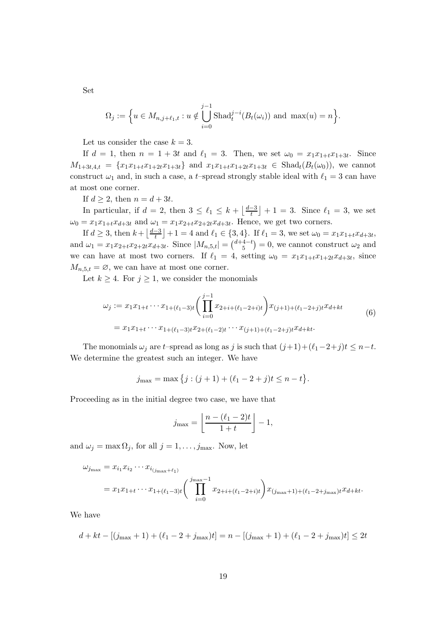Set

$$
\Omega_j := \Big\{ u \in M_{n,j+\ell_1,t} : u \notin \bigcup_{i=0}^{j-1} \text{Shad}_t^{j-i}(B_t(\omega_i)) \text{ and } \max(u) = n \Big\}.
$$

Let us consider the case  $k = 3$ .

If  $d = 1$ , then  $n = 1 + 3t$  and  $\ell_1 = 3$ . Then, we set  $\omega_0 = x_1 x_{1+t} x_{1+3t}$ . Since  $M_{1+3t,4,t} = \{x_1x_{1+t}x_{1+2t}x_{1+3t}\}$  and  $x_1x_{1+t}x_{1+2t}x_{1+3t} \in \text{Shad}_t(B_t(\omega_0))$ , we cannot construct  $\omega_1$  and, in such a case, a t-spread strongly stable ideal with  $\ell_1 = 3$  can have at most one corner.

If  $d \geq 2$ , then  $n = d + 3t$ .

In particular, if  $d = 2$ , then  $3 \leq \ell_1 \leq k + \lfloor \frac{d-3}{t} \rfloor + 1 = 3$ . Since  $\ell_1 = 3$ , we set  $\omega_0 = x_1 x_{1+t} x_{d+3t}$  and  $\omega_1 = x_1 x_{2+t} x_{2+2t} x_{d+3t}$ . Hence, we get two corners.

If  $d \geq 3$ , then  $k + \left\lfloor \frac{d-3}{t} \right\rfloor + 1 = 4$  and  $\ell_1 \in \{3, 4\}$ . If  $\ell_1 = 3$ , we set  $\omega_0 = x_1 x_{1+t} x_{d+3t}$ , and  $\omega_1 = x_1 x_{2+t} x_{2+2t} x_{d+3t}$ . Since  $|M_{n,5,t}| = \binom{d+4-t}{5}$  $\binom{4-t}{5} = 0$ , we cannot construct  $\omega_2$  and we can have at most two corners. If  $\ell_1 = 4$ , setting  $\omega_0 = x_1x_{1+t}x_{1+2t}x_{d+3t}$ , since  $M_{n,5,t} = \emptyset$ , we can have at most one corner.

Let  $k \geq 4$ . For  $j \geq 1$ , we consider the monomials

<span id="page-18-0"></span>
$$
\omega_j := x_1 x_{1+t} \cdots x_{1+(\ell_1-3)t} \left( \prod_{i=0}^{j-1} x_{2+i+(\ell_1-2+i)t} \right) x_{(j+1)+(\ell_1-2+j)t} x_{d+kt}
$$
\n
$$
= x_1 x_{1+t} \cdots x_{1+(\ell_1-3)t} x_{2+(\ell_1-2)t} \cdots x_{(j+1)+(\ell_1-2+j)t} x_{d+kt}.
$$
\n(6)

The monomials  $\omega_j$  are t–spread as long as j is such that  $(j+1)+(\ell_1-2+j)t \leq n-t$ . We determine the greatest such an integer. We have

$$
j_{\max} = \max \{ j : (j+1) + (\ell_1 - 2 + j)t \le n - t \}.
$$

Proceeding as in the initial degree two case, we have that

$$
j_{\max} = \left\lfloor \frac{n - (\ell_1 - 2)t}{1 + t} \right\rfloor - 1,
$$

and  $\omega_j = \max \Omega_j$ , for all  $j = 1, \ldots, j_{\text{max}}$ . Now, let

$$
\omega_{j_{\max}} = x_{i_1} x_{i_2} \cdots x_{i_{(j_{\max}+\ell_1)}}
$$
  
=  $x_1 x_{1+t} \cdots x_{1+(\ell_1-3)t} \left( \prod_{i=0}^{j_{\max}-1} x_{2+i+(\ell_1-2+i)t} \right) x_{(j_{\max}+1)+(\ell_1-2+j_{\max})t} x_{d+kt}.$ 

We have

$$
d + kt - [(j_{\max} + 1) + (\ell_1 - 2 + j_{\max})t] = n - [(j_{\max} + 1) + (\ell_1 - 2 + j_{\max})t] \le 2t
$$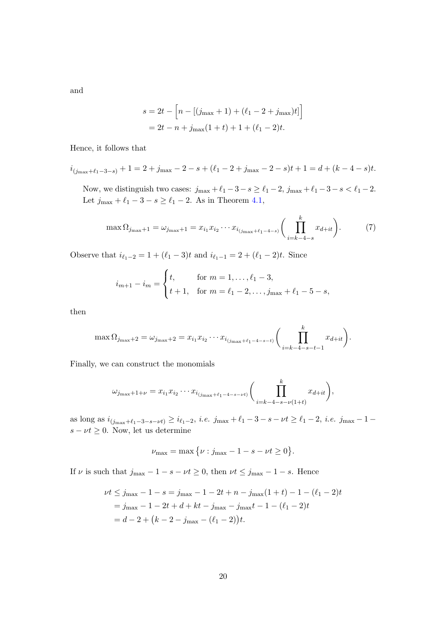and

$$
s = 2t - \left[ n - \left[ (j_{\text{max}} + 1) + (\ell_1 - 2 + j_{\text{max}})t \right] \right]
$$
  
= 2t - n + j\_{\text{max}}(1 + t) + 1 + (\ell\_1 - 2)t.

Hence, it follows that

$$
i_{(j_{\max}+\ell_1-3-s)}+1=2+j_{\max}-2-s+(\ell_1-2+j_{\max}-2-s)t+1=d+(k-4-s)t.
$$

Now, we distinguish two cases:  $j_{\text{max}} + \ell_1 - 3 - s \ge \ell_1 - 2$ ,  $j_{\text{max}} + \ell_1 - 3 - s < \ell_1 - 2$ . Let  $j_{\text{max}} + \ell_1 - 3 - s \ge \ell_1 - 2$ . As in Theorem [4.1,](#page-15-1)

<span id="page-19-0"></span>
$$
\max \Omega_{j_{\max}+1} = \omega_{j_{\max}+1} = x_{i_1} x_{i_2} \cdots x_{i_{(j_{\max}+\ell_1-4-s)}} \left( \prod_{i=k-4-s}^{k} x_{d+it} \right). \tag{7}
$$

Observe that  $i_{\ell_1-2} = 1 + (\ell_1 - 3)t$  and  $i_{\ell_1-1} = 2 + (\ell_1 - 2)t$ . Since

$$
i_{m+1} - i_m = \begin{cases} t, & \text{for } m = 1, \dots, \ell_1 - 3, \\ t + 1, & \text{for } m = \ell_1 - 2, \dots, j_{\text{max}} + \ell_1 - 5 - s, \end{cases}
$$

then

$$
\max \Omega_{j_{\max}+2} = \omega_{j_{\max}+2} = x_{i_1} x_{i_2} \cdots x_{i_{(j_{\max}+\ell_1-4-s-t)}} \left( \prod_{i=k-4-s-t-1}^{k} x_{d+it} \right).
$$

Finally, we can construct the monomials

$$
\omega_{j_{\max}+1+\nu} = x_{i_1} x_{i_2} \cdots x_{i_{(j_{\max}+\ell_1-4-s-\nu t)}} \bigg( \prod_{i=k-4-s-\nu(1+t)}^k x_{d+it} \bigg),
$$

as long as  $i_{(j_{\text{max}}+\ell_1-3-s-\nu t)} \geq i_{\ell_1-2}, i.e. j_{\text{max}}+\ell_1-3-s-\nu t \geq \ell_1-2, i.e. j_{\text{max}}-1$  $s - \nu t \geq 0$ . Now, let us determine

$$
\nu_{\max} = \max \big\{ \nu : j_{\max} - 1 - s - \nu t \ge 0 \big\}.
$$

If  $\nu$  is such that  $j_{\text{max}} - 1 - s - \nu t \geq 0$ , then  $\nu t \leq j_{\text{max}} - 1 - s$ . Hence

$$
\nu t \le j_{\max} - 1 - s = j_{\max} - 1 - 2t + n - j_{\max}(1 + t) - 1 - (\ell_1 - 2)t
$$
  
=  $j_{\max} - 1 - 2t + d + kt - j_{\max} - j_{\max}t - 1 - (\ell_1 - 2)t$   
=  $d - 2 + (k - 2 - j_{\max} - (\ell_1 - 2))t$ .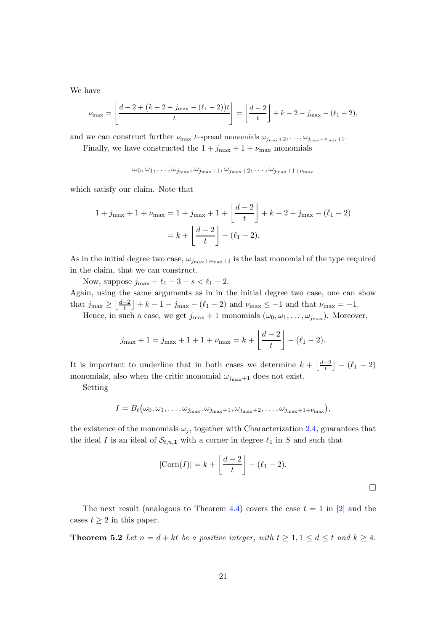We have

$$
\nu_{\max} = \left\lfloor \frac{d-2 + (k-2-j_{\max}-(\ell_1-2))t}{t} \right\rfloor = \left\lfloor \frac{d-2}{t} \right\rfloor + k - 2 - j_{\max} - (\ell_1-2),
$$

and we can construct further  $\nu_{\text{max}} t$ –spread monomials  $\omega_{j_{\text{max}}+2}, \ldots, \omega_{j_{\text{max}}+ \nu_{\text{max}}+1}$ .

Finally, we have constructed the  $1 + j_{\text{max}} + 1 + \nu_{\text{max}}$  monomials

 $\omega_0, \omega_1, \ldots, \omega_{j_{\text{max}}}, \omega_{j_{\text{max}}+1}, \omega_{j_{\text{max}}+2}, \ldots, \omega_{j_{\text{max}}+1+\nu_{\text{max}}}$ 

which satisfy our claim. Note that

$$
1 + j_{\max} + 1 + \nu_{\max} = 1 + j_{\max} + 1 + \left\lfloor \frac{d-2}{t} \right\rfloor + k - 2 - j_{\max} - (\ell_1 - 2)
$$

$$
= k + \left\lfloor \frac{d-2}{t} \right\rfloor - (\ell_1 - 2).
$$

As in the initial degree two case,  $\omega_{j_{\text{max}}+\nu_{\text{max}}+1}$  is the last monomial of the type required in the claim, that we can construct.

Now, suppose  $j_{\text{max}} + \ell_1 - 3 - s < \ell_1 - 2$ .

Again, using the same arguments as in in the initial degree two case, one can show that  $j_{\text{max}} \geq \left\lfloor \frac{d-2}{t} \right\rfloor + k - 1 - j_{\text{max}} - (\ell_1 - 2)$  and  $\nu_{\text{max}} \leq -1$  and that  $\nu_{\text{max}} = -1$ .

Hence, in such a case, we get  $j_{\text{max}} + 1$  monomials  $(\omega_0, \omega_1, \dots, \omega_{j_{\text{max}}})$ . Moreover,

$$
j_{\max} + 1 = j_{\max} + 1 + 1 + \nu_{\max} = k + \left\lfloor \frac{d-2}{t} \right\rfloor - (\ell_1 - 2).
$$

It is important to underline that in both cases we determine  $k + \left\lfloor \frac{d-2}{t} \right\rfloor - (\ell_1 - 2)$ monomials, also when the critic monomial  $\omega_{j_{\text{max}}+1}$  does not exist.

Setting

$$
I = B_t(\omega_0, \omega_1, \dots, \omega_{j_{\max}}, \omega_{j_{\max}+1}, \omega_{j_{\max}+2}, \dots, \omega_{j_{\max}+1+\nu_{\max}}),
$$

the existence of the monomials  $\omega_j$ , together with Characterization [2.4,](#page-3-1) guarantees that the ideal I is an ideal of  $S_{t,n,1}$  with a corner in degree  $\ell_1$  in S and such that

$$
|\text{Corn}(I)| = k + \left\lfloor \frac{d-2}{t} \right\rfloor - (\ell_1 - 2).
$$

The next result (analogous to Theorem [4.4\)](#page-16-1) covers the case  $t = 1$  in [\[2\]](#page-22-10) and the cases  $t \geq 2$  in this paper.

<span id="page-20-0"></span>**Theorem 5.2** Let  $n = d + kt$  be a positive integer, with  $t \geq 1, 1 \leq d \leq t$  and  $k \geq 4$ .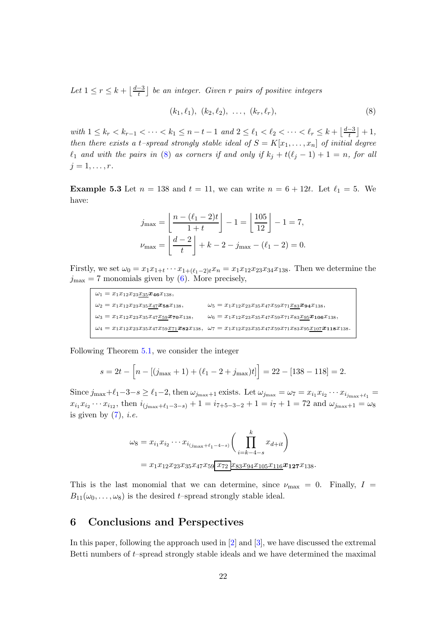Let  $1 \leq r \leq k + \left\lfloor \frac{d-3}{t} \right\rfloor$  be an integer. Given r pairs of positive integers

<span id="page-21-1"></span>
$$
(k_1, \ell_1), (k_2, \ell_2), \ldots, (k_r, \ell_r), \tag{8}
$$

 $with 1 \leq k_r < k_{r-1} < \cdots < k_1 \leq n-t-1 \text{ and } 2 \leq \ell_1 < \ell_2 < \cdots < \ell_r \leq k+\lfloor \frac{d-3}{t} \rfloor + 1,$ *then there exists a t–spread strongly stable ideal of*  $S = K[x_1, \ldots, x_n]$  *of initial degree*  $\ell_1$  *and with the pairs in* [\(8\)](#page-21-1) *as corners if and only if*  $k_j + t(\ell_j - 1) + 1 = n$ , for all  $j = 1, \ldots, r$ .

**Example 5.3** Let  $n = 138$  and  $t = 11$ , we can write  $n = 6 + 12t$ . Let  $\ell_1 = 5$ . We have:

$$
j_{\max} = \left\lfloor \frac{n - (\ell_1 - 2)t}{1 + t} \right\rfloor - 1 = \left\lfloor \frac{105}{12} \right\rfloor - 1 = 7,
$$
  

$$
\nu_{\max} = \left\lfloor \frac{d - 2}{t} \right\rfloor + k - 2 - j_{\max} - (\ell_1 - 2) = 0.
$$

Firstly, we set  $\omega_0 = x_1 x_{1+t} \cdots x_{1+(\ell_1-2)t} x_n = x_1 x_{12} x_{23} x_{34} x_{138}$ . Then we determine the  $j_{\text{max}} = 7$  monomials given by [\(6\)](#page-18-0). More precisely,

| $\omega_1 = x_1 x_{12} x_{23} x_{35} x_{46} x_{138},$               |                                                                                                                                                             |
|---------------------------------------------------------------------|-------------------------------------------------------------------------------------------------------------------------------------------------------------|
| $\omega_2 = x_1 x_{12} x_{23} x_{35} x_{47} x_{58} x_{138},$        | $\omega_5 = x_1 x_{12} x_{23} x_{35} x_{47} x_{59} x_{71} x_{83} x_{94} x_{138},$                                                                           |
| $\omega_3 = x_1 x_{12} x_{23} x_{35} x_{47} x_{59} x_{70} x_{138},$ | $\omega_6 = x_1 x_{12} x_{23} x_{35} x_{47} x_{59} x_{71} x_{83} x_{95} x_{106} x_{138},$                                                                   |
|                                                                     | $\omega_4 = x_1x_{12}x_{23}x_{35}x_{47}x_{59}x_{71}x_{82}x_{138}, \ \ \omega_7 = x_1x_{12}x_{23}x_{35}x_{47}x_{59}x_{71}x_{83}x_{95}x_{107}x_{118}x_{138}.$ |

Following Theorem [5.1,](#page-17-1) we consider the integer

$$
s = 2t - \left[ n - \left[ (j_{\text{max}} + 1) + (\ell_1 - 2 + j_{\text{max}})t \right] \right] = 22 - \left[ 138 - 118 \right] = 2.
$$

Since  $j_{\text{max}}+\ell_1-3-s \geq \ell_1-2$ , then  $\omega_{j_{\text{max}}+1}$  exists. Let  $\omega_{j_{\text{max}}} = \omega_7 = x_{i_1}x_{i_2}\cdots x_{i_{j_{\text{max}}+\ell_1}} =$  $x_{i_1}x_{i_2}\cdots x_{i_{12}}$ , then  $i_{(j_{\max}+\ell_1-3-s)}+1=i_{7+5-3-2}+1=i_7+1=72$  and  $\omega_{j_{\max}+1}=\omega_8$ is given by [\(7\)](#page-19-0), *i.e.*

$$
\omega_8 = x_{i_1} x_{i_2} \cdots x_{i_{(j_{\max}+\ell_1-4-s)}} \left( \prod_{i=k-4-s}^k x_{d+it} \right)
$$
  
=  $x_1 x_{12} x_{23} x_{35} x_{47} x_{59} \boxed{x_{72}} x_{83} x_{94} x_{105} x_{116} x_{127} x_{138}.$ 

This is the last monomial that we can determine, since  $\nu_{\text{max}} = 0$ . Finally,  $I =$  $B_{11}(\omega_0, \ldots, \omega_8)$  is the desired t–spread strongly stable ideal.

## <span id="page-21-0"></span>6 Conclusions and Perspectives

In this paper, following the approach used in  $[2]$  and  $[3]$ , we have discussed the extremal Betti numbers of  $t$ –spread strongly stable ideals and we have determined the maximal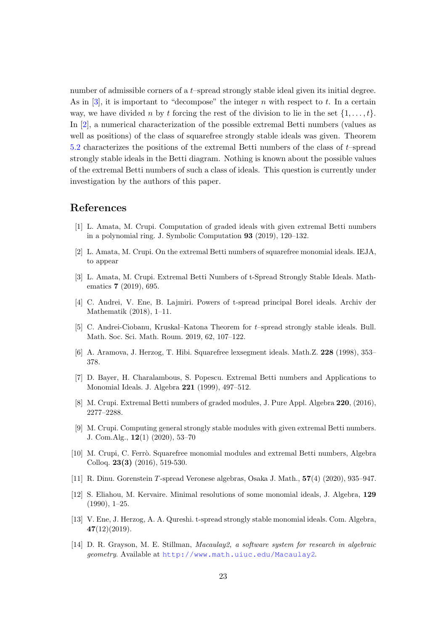number of admissible corners of a t–spread strongly stable ideal given its initial degree. As in  $[3]$ , it is important to "decompose" the integer n with respect to t. In a certain way, we have divided n by t forcing the rest of the division to lie in the set  $\{1, \ldots, t\}$ . In [\[2\]](#page-22-10), a numerical characterization of the possible extremal Betti numbers (values as well as positions) of the class of squarefree strongly stable ideals was given. Theorem [5.2](#page-20-0) characterizes the positions of the extremal Betti numbers of the class of  $t$ –spread strongly stable ideals in the Betti diagram. Nothing is known about the possible values of the extremal Betti numbers of such a class of ideals. This question is currently under investigation by the authors of this paper.

### <span id="page-22-9"></span>References

- [1] L. Amata, M. Crupi. Computation of graded ideals with given extremal Betti numbers in a polynomial ring. J. Symbolic Computation 93 (2019), 120–132.
- <span id="page-22-10"></span><span id="page-22-1"></span>[2] L. Amata, M. Crupi. On the extremal Betti numbers of squarefree monomial ideals. IEJA, to appear
- [3] L. Amata, M. Crupi. Extremal Betti Numbers of t-Spread Strongly Stable Ideals. Mathematics 7 (2019), 695.
- <span id="page-22-3"></span><span id="page-22-2"></span>[4] C. Andrei, V. Ene, B. Lajmiri. Powers of t-spread principal Borel ideals. Archiv der Mathematik (2018), 1–11.
- <span id="page-22-12"></span>[5] C. Andrei-Ciobanu, Kruskal–Katona Theorem for t–spread strongly stable ideals. Bull. Math. Soc. Sci. Math. Roum. 2019, 62, 107–122.
- <span id="page-22-5"></span>[6] A. Aramova, J. Herzog, T. Hibi. Squarefree lexsegment ideals. Math.Z. 228 (1998), 353– 378.
- [7] D. Bayer, H. Charalambous, S. Popescu. Extremal Betti numbers and Applications to Monomial Ideals. J. Algebra 221 (1999), 497–512.
- <span id="page-22-7"></span><span id="page-22-6"></span>[8] M. Crupi. Extremal Betti numbers of graded modules, J. Pure Appl. Algebra 220, (2016), 2277–2288.
- [9] M. Crupi. Computing general strongly stable modules with given extremal Betti numbers. J. Com.Alg., 12(1) (2020), 53–70
- <span id="page-22-8"></span>[10] M. Crupi, C. Ferrò. Squarefree monomial modules and extremal Betti numbers, Algebra Colloq. 23(3) (2016), 519-530.
- <span id="page-22-13"></span><span id="page-22-4"></span>[11] R. Dinu. Gorenstein T -spread Veronese algebras, Osaka J. Math., 57(4) (2020), 935–947.
- [12] S. Eliahou, M. Kervaire. Minimal resolutions of some monomial ideals, J. Algebra, 129 (1990), 1–25.
- <span id="page-22-0"></span>[13] V. Ene, J. Herzog, A. A. Qureshi. t-spread strongly stable monomial ideals. Com. Algebra,  $47(12)(2019)$ .
- <span id="page-22-11"></span>[14] D. R. Grayson, M. E. Stillman, *Macaulay2, a software system for research in algebraic geometry*. Available at <http://www.math.uiuc.edu/Macaulay2>.